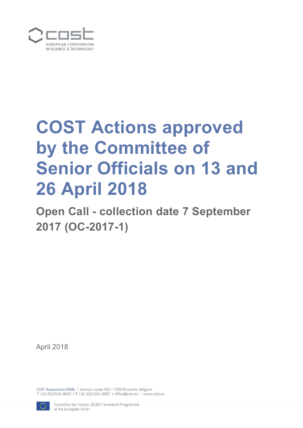

# **COST Actions approved by the Committee of Senior Officials on 13 and 26 April 2018**

**Open Call - collection date 7 September 2017 (OC-2017-1)** 

April 2018

COST Association AISBL | Avenue Louise 149 | 1050 Brussels, Belgium T+32 (0)2 533 3800 | F+32 (0)2 533 3890 | office@cost.eu | www.cost.eu

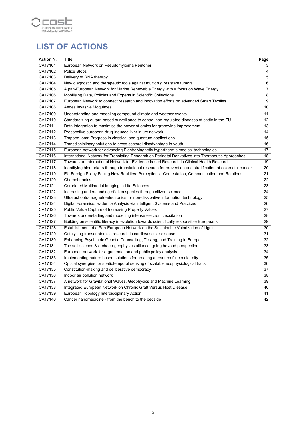

## **LIST OF ACTIONS**

| <b>Action N.</b> | Title                                                                                                        | Page           |
|------------------|--------------------------------------------------------------------------------------------------------------|----------------|
| CA17101          | European Network on Pseudomyxoma Peritonei                                                                   | 3              |
| CA17102          | Police Stops                                                                                                 | 4              |
| CA17103          | Delivery of RNA therapy                                                                                      | $\overline{5}$ |
| CA17104          | New diagnostic and therapeutic tools against multidrug resistant tumors                                      | 6              |
| CA17105          | A pan-European Network for Marine Renewable Energy with a focus on Wave Energy                               | 7              |
| CA17106          | Mobilising Data, Policies and Experts in Scientific Collections                                              | 8              |
| CA17107          | European Network to connect research and innovation efforts on advanced Smart Textiles                       | 9              |
| CA17108          | Aedes Invasive Moquitoes                                                                                     | 10             |
| CA17109          | Understanding and modeling compound climate and weather events                                               | 11             |
| CA17110          | Standardizing output-based surveillance to control non-regulated diseases of cattle in the EU                | 12             |
| CA17111          | Data integration to maximise the power of omics for grapevine improvement                                    | 13             |
| CA17112          | Prospective european drug-induced liver injury network                                                       | 14             |
| CA17113          | Trapped Ions: Progress in classical and quantum applications                                                 | 15             |
| CA17114          | Transdisciplinary solutions to cross sectoral disadvantage in youth                                          | 16             |
| CA17115          | European network for advancing ElectroMagnetic hyperthermic medical technologies.                            | 17             |
| CA17116          | International Network for Translating Research on Perinatal Derivatives into Therapeutic Approaches          | 18             |
| CA17117          | Towards an International Network for Evidence-based Research in Clinical Health Research                     | 19             |
| CA17118          | Identifying biomarkers through translational research for prevention and stratification of colorectal cancer | 20             |
| CA17119          | EU Foreign Policy Facing New Realities: Perceptions, Contestation, Communication and Relations               | 21             |
| CA17120          | Chemobrionics                                                                                                | 22             |
| CA17121          | Correlated Multimodal Imaging in Life Sciences                                                               | 23             |
| CA17122          | Increasing understanding of alien species through citizen science                                            | 24             |
| CA17123          | Ultrafast opto-magneto-electronics for non-dissipative information technology                                | 25             |
| CA17124          | Digital Forensics: evidence Analysis via intelligent Systems and Practices                                   | 26             |
| CA17125          | Public Value Capture of Increasing Property Values                                                           | 27             |
| CA17126          | Towards understading and modelling intense electronic excitation                                             | 28             |
| CA17127          | Building on scientific literacy in evolution towards scientifically responsible Europeans                    | 29             |
| CA17128          | Establishment of a Pan-European Network on the Sustainable Valorization of Lignin                            | 30             |
| CA17129          | Catalysing transcriptomics research in cardiovascular disease                                                | 31             |
| CA17130          | Enhancing Psychiatric Genetic Counselling, Testing, and Training in Europe                                   | 32             |
| CA17131          | The soil science & archaeo-geophysics alliance: going beyond prospection                                     | 33             |
| CA17132          | European network for argumentation and public policy analysis                                                | 34             |
| CA17133          | Implementing nature based solutions for creating a resourceful circular city                                 | 35             |
| CA17134          | Optical synergies for spatiotemporal sensing of scalable ecophysiological traits                             | 36             |
| CA17135          | Constitution-making and deliberative democracy                                                               | 37             |
| CA17136          | Indoor air pollution network                                                                                 | 38             |
| CA17137          | A network for Gravitational Waves, Geophysics and Machine Learning                                           | 39             |
| CA17138          | Integrated European Network on Chronic Graft Versus Host Disease                                             | 40             |
| CA17139          | European Topology Interdisciplinary Action                                                                   | 41             |
| CA17140          | Cancer nanomedicine - from the bench to the bedside                                                          | 42             |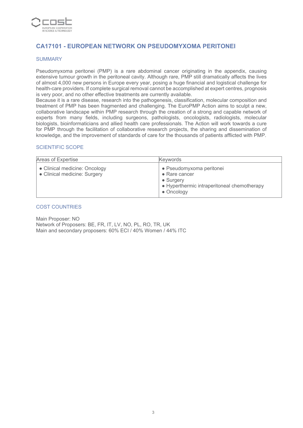

## **CA17101 - EUROPEAN NETWORK ON PSEUDOMYXOMA PERITONEI**

#### SUMMARY

Pseudomyxoma peritonei (PMP) is a rare abdominal cancer originating in the appendix, causing extensive tumour growth in the peritoneal cavity. Although rare, PMP still dramatically affects the lives of almost 4,000 new persons in Europe every year, posing a huge financial and logistical challenge for health-care providers. If complete surgical removal cannot be accomplished at expert centres, prognosis is very poor, and no other effective treatments are currently available.

Because it is a rare disease, research into the pathogenesis, classification, molecular composition and treatment of PMP has been fragmented and challenging. The EuroPMP Action aims to sculpt a new, collaborative landscape within PMP research through the creation of a strong and capable network of experts from many fields, including surgeons, pathologists, oncologists, radiologists, molecular biologists, bioinformaticians and allied health care professionals. The Action will work towards a cure for PMP through the facilitation of collaborative research projects, the sharing and dissemination of knowledge, and the improvement of standards of care for the thousands of patients afflicted with PMP.

#### SCIENTIFIC SCOPE

| Areas of Expertise                                            | Keywords                                                                                                            |
|---------------------------------------------------------------|---------------------------------------------------------------------------------------------------------------------|
| • Clinical medicine: Oncology<br>• Clinical medicine: Surgery | • Pseudomyxoma peritonei<br>• Rare cancer<br>• Surgery<br>• Hyperthermic intraperitoneal chemotherapy<br>• Oncology |

#### COST COUNTRIES

Main Proposer: NO Network of Proposers: BE, FR, IT, LV, NO, PL, RO, TR, UK Main and secondary proposers: 60% ECI / 40% Women / 44% ITC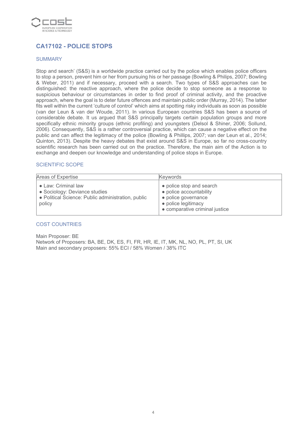

## **CA17102 - POLICE STOPS**

#### SUMMARY

Stop and search' (S&S) is a worldwide practice carried out by the police which enables police officers to stop a person, prevent him or her from pursuing his or her passage (Bowling & Philips, 2007; Bowling & Weber, 2011) and if necessary, proceed with a search. Two types of S&S approaches can be distinguished: the reactive approach, where the police decide to stop someone as a response to suspicious behaviour or circumstances in order to find proof of criminal activity, and the proactive approach, where the goal is to deter future offences and maintain public order (Murray, 2014). The latter fits well within the current 'culture of control' which aims at spotting risky individuals as soon as possible (van der Leun & van der Woude, 2011). In various European countries S&S has been a source of considerable debate. It us argued that S&S principally targets certain population groups and more specifically ethnic minority groups (ethnic profiling) and youngsters (Delsol & Shiner, 2006; Sollund, 2006). Consequently, S&S is a rather controversial practice, which can cause a negative effect on the public and can affect the legitimacy of the police (Bowling & Phillips, 2007; van der Leun et al., 2014; Quinton, 2013). Despite the heavy debates that exist around S&S in Europe, so far no cross-country scientific research has been carried out on the practice. Therefore, the main aim of the Action is to exchange and deepen our knowledge and understanding of police stops in Europe.

#### SCIENTIFIC SCOPE

| Areas of Expertise                                                                                                   | <b>Keywords</b>                                                                                                                     |
|----------------------------------------------------------------------------------------------------------------------|-------------------------------------------------------------------------------------------------------------------------------------|
| • Law: Criminal law<br>• Sociology: Deviance studies<br>• Political Science: Public administration, public<br>policy | • police stop and search<br>• police accountability<br>• police governance<br>• police legitimacy<br>• comparative criminal justice |

#### COST COUNTRIES

Main Proposer: BE Network of Proposers: BA, BE, DK, ES, FI, FR, HR, IE, IT, MK, NL, NO, PL, PT, SI, UK Main and secondary proposers: 55% ECI / 58% Women / 38% ITC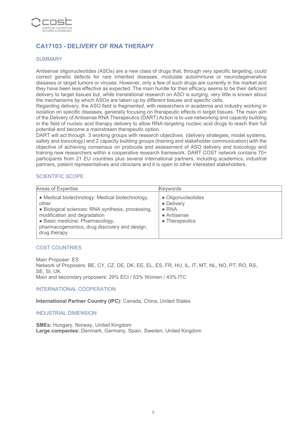

## **CA17103 - DELIVERY OF RNA THERAPY**

#### SUMMARY

Antisense oligonucleotides (ASOs) are a new class of drugs that, through very specific targeting, could correct genetic defects for rare inherited diseases, modulate autoimmune or neurodegenerative diseases or target tumors or viruses. However, only a few of such drugs are currently in the market and they have been less effective as expected. The main hurdle for their efficacy seems to be their deficient delivery to target tissues but, while translational research on ASO is surging, very little is known about the mechanisms by which ASOs are taken up by different tissues and specific cells.

Regarding delivery, the ASO field is fragmented, with researchers in academia and industry working in isolation on specific diseases, generally focusing on therapeutic effects in target tissues. The main aim of the Delivery of Antisense RNA Therapeutics (DART) Action is to use networking and capacity building in the field of nucleic acid therapy delivery to allow RNA-targeting nucleic acid drugs to reach their full potential and become a mainstream therapeutic option.

DART will act through 3 working groups with research objectives (delivery strategies, model systems, safety and toxicology) and 2 capacity building groups (training and stakeholder communication) with the objective of achieving consensus on protocols and assessment of ASO delivery and toxicology and training new researchers within a cooperative research framework. DART COST network contains 70+ participants from 21 EU countries plus several international partners, including academics, industrial partners, patient representatives and clinicians and it is open to other interested stakeholders.

#### SCIENTIFIC SCOPE

| Areas of Expertise                                                                                                                                                                                                                               | <b>Keywords</b>                                                                    |
|--------------------------------------------------------------------------------------------------------------------------------------------------------------------------------------------------------------------------------------------------|------------------------------------------------------------------------------------|
| • Medical biotechnology: Medical biotechnology,<br>other<br>• Biological sciences: RNA synthesis, processing,<br>modification and degradation<br>• Basic medicine: Pharmacology,<br>pharmacogenomics, drug discovery and design,<br>drug therapy | • Oligonucleotides<br>• Delivery<br>$\bullet$ RNA<br>• Antisense<br>• Therapeutics |

#### COST COUNTRIES

Main Proposer: ES Network of Proposers: BE, CY, CZ, DE, DK, EE, EL, ES, FR, HU, IL, IT, MT, NL, NO, PT, RO, RS, SE, SI, UK Main and secondary proposers: 29% ECI / 53% Women / 43% ITC

#### INTERNATIONAL COOPERATION

**International Partner Country (IPC):** Canada, China, United States

#### INDUSTRIAL DIMENSION

**SMEs:** Hungary, Norway, United Kingdom **Large companies:** Denmark, Germany, Spain, Sweden, United Kingdom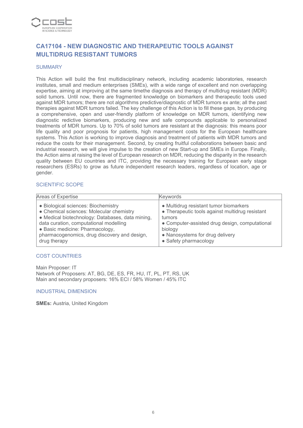

## **CA17104 - NEW DIAGNOSTIC AND THERAPEUTIC TOOLS AGAINST MULTIDRUG RESISTANT TUMORS**

#### **SUMMARY**

This Action will build the first multidisciplinary network, including academic laboratories, research institutes, small and medium enterprises (SMEs), with a wide range of excellent and non overlapping expertise, aiming at improving at the same timethe diagnosis and therapy of multidrug resistant (MDR) solid tumors. Until now, there are fragmented knowledge on biomarkers and therapeutic tools used against MDR tumors; there are not algorithms predictive/diagnostic of MDR tumors ex ante; all the past therapies against MDR tumors failed. The key challenge of this Action is to fill these gaps, by producing a comprehensive, open and user-friendly platform of knowledge on MDR tumors, identifying new diagnostic redictive biomarkers, producing new and safe compounds applicable to personalized treatments of MDR tumors. Up to 70% of solid tumors are resistant at the diagnosis: this means poor life quality and poor prognosis for patients, high management costs for the European healthcare systems. This Action is working to improve diagnosis and treatment of patients with MDR tumors and reduce the costs for their management. Second, by creating fruitful collaborations between basic and industrial research, we will give impulse to the creation of new Start-up and SMEs in Europe. Finally, the Action aims at raising the level of European research on MDR, reducing the disparity in the research quality between EU countries and ITC, providing the necessary training for European early stage researchers (ESRs) to grow as future independent research leaders, regardless of location, age or gender.

#### SCIENTIFIC SCOPE

| Areas of Expertise                               | <b>Keywords</b>                                 |
|--------------------------------------------------|-------------------------------------------------|
| • Biological sciences: Biochemistry              | • Multidrug resistant tumor biomarkers          |
| • Chemical sciences: Molecular chemistry         | • Therapeutic tools against multidrug resistant |
| · Medical biotechnology: Databases, data mining, | tumors                                          |
| data curation, computational modelling           | • Computer-assisted drug design, computational  |
| • Basic medicine: Pharmacology,                  | biology                                         |
| pharmacogenomics, drug discovery and design,     | • Nanosystems for drug delivery                 |
| drug therapy                                     | • Safety pharmacology                           |

#### COST COUNTRIES

Main Proposer: IT Network of Proposers: AT, BG, DE, ES, FR, HU, IT, PL, PT, RS, UK Main and secondary proposers: 16% ECI / 58% Women / 45% ITC

#### INDUSTRIAL DIMENSION

**SMEs:** Austria, United Kingdom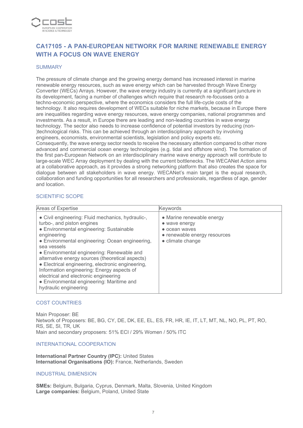

## **CA17105 - A PAN-EUROPEAN NETWORK FOR MARINE RENEWABLE ENERGY WITH A FOCUS ON WAVE ENERGY**

#### **SUMMARY**

The pressure of climate change and the growing energy demand has increased interest in marine renewable energy resources, such as wave energy which can be harvested through Wave Energy Converter (WECs) Arrays. However, the wave energy industry is currently at a significant juncture in its development, facing a number of challenges which require that research re-focusses onto a techno-economic perspective, where the economics considers the full life-cycle costs of the technology. It also requires development of WECs suitable for niche markets, because in Europe there are inequalities regarding wave energy resources, wave energy companies, national programmes and investments. As a result, in Europe there are leading and non-leading countries in wave energy technology. The sector also needs to increase confidence of potential investors by reducing (non- )technological risks. This can be achieved through an interdisciplinary approach by involving engineers, economists, environmental scientists, legislation and policy experts etc. Consequently, the wave energy sector needs to receive the necessary attention compared to other more advanced and commercial ocean energy technologies (e.g. tidal and offshore wind). The formation of the first pan-European Network on an interdisciplinary marine wave energy approach will contribute to large-scale WEC Array deployment by dealing with the current bottlenecks. The WECANet Action aims at a collaborative approach, as it provides a strong networking platform that also creates the space for dialogue between all stakeholders in wave energy. WECANet's main target is the equal research,

collaboration and funding opportunities for all researchers and professionals, regardless of age, gender

#### SCIENTIFIC SCOPE

and location.

| Areas of Expertise                                                                                                                                                                                                                                                                                                                                                                                                                                                                                                               | Keywords                                                                                                        |
|----------------------------------------------------------------------------------------------------------------------------------------------------------------------------------------------------------------------------------------------------------------------------------------------------------------------------------------------------------------------------------------------------------------------------------------------------------------------------------------------------------------------------------|-----------------------------------------------------------------------------------------------------------------|
| • Civil engineering: Fluid mechanics, hydraulic-,<br>turbo-, and piston engines<br>• Environmental engineering: Sustainable<br>engineering<br>• Environmental engineering: Ocean engineering,<br>sea vessels<br>• Environmental engineering: Renewable and<br>alternative energy sources (theoretical aspects)<br>• Electrical engineering, electronic engineering,<br>Information engineering: Energy aspects of<br>electrical and electronic engineering<br>• Environmental engineering: Maritime and<br>hydraulic engineering | • Marine renewable energy<br>• wave energy<br>• ocean waves<br>• renewable energy resources<br>• climate change |

#### COST COUNTRIES

Main Proposer: BE Network of Proposers: BE, BG, CY, DE, DK, EE, EL, ES, FR, HR, IE, IT, LT, MT, NL, NO, PL, PT, RO, RS, SE, SI, TR, UK Main and secondary proposers: 51% ECI / 29% Women / 50% ITC

#### INTERNATIONAL COOPERATION

**International Partner Country (IPC):** United States **International Organisations (IO):** France, Netherlands, Sweden

#### INDUSTRIAL DIMENSION

**SMEs:** Belgium, Bulgaria, Cyprus, Denmark, Malta, Slovenia, United Kingdom **Large companies:** Belgium, Poland, United State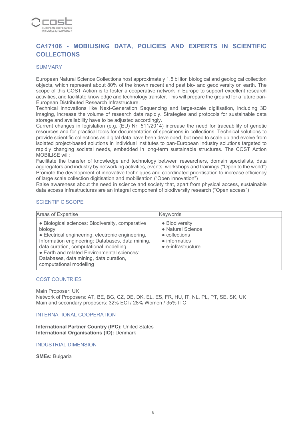

## **CA17106 - MOBILISING DATA, POLICIES AND EXPERTS IN SCIENTIFIC COLLECTIONS**

#### **SUMMARY**

European Natural Science Collections host approximately 1.5 billion biological and geological collection objects, which represent about 80% of the known recent and past bio- and geodiversity on earth. The scope of this COST Action is to foster a cooperative network in Europe to support excellent research activities, and facilitate knowledge and technology transfer. This will prepare the ground for a future pan-European Distributed Research Infrastructure.

Technical innovations like Next-Generation Sequencing and large-scale digitisation, including 3D imaging, increase the volume of research data rapidly. Strategies and protocols for sustainable data storage and availability have to be adjusted accordingly.

Current changes in legislation (e.g. (EU) Nr. 511/2014) increase the need for traceability of genetic resources and for practical tools for documentation of specimens in collections. Technical solutions to provide scientific collections as digital data have been developed, but need to scale up and evolve from isolated project-based solutions in individual institutes to pan-European industry solutions targeted to rapidly changing societal needs, embedded in long-term sustainable structures. The COST Action MOBILISE will:

Facilitate the transfer of knowledge and technology between researchers, domain specialists, data aggregators and industry by networking activities, events, workshops and trainings ("Open to the world") Promote the development of innovative techniques and coordinated prioritisation to increase efficiency of large scale collection digitisation and mobilisation ("Open innovation")

Raise awareness about the need in science and society that, apart from physical access, sustainable data access infrastructures are an integral component of biodiversity research ("Open access")

#### SCIENTIFIC SCOPE

| Areas of Expertise                                                                                                                                                                                                                                                                                                                 | <b>Keywords</b>                                                                                             |
|------------------------------------------------------------------------------------------------------------------------------------------------------------------------------------------------------------------------------------------------------------------------------------------------------------------------------------|-------------------------------------------------------------------------------------------------------------|
| • Biological sciences: Biodiversity, comparative<br>biology<br>• Electrical engineering, electronic engineering,<br>Information engineering: Databases, data mining,<br>data curation, computational modelling<br>• Earth and related Environmental sciences:<br>Databases, data mining, data curation,<br>computational modelling | • Biodiversity<br>• Natural Science<br>• collections<br>$\bullet$ informatics<br>$\bullet$ e-infrastructure |

#### COST COUNTRIES

Main Proposer: UK

Network of Proposers: AT, BE, BG, CZ, DE, DK, EL, ES, FR, HU, IT, NL, PL, PT, SE, SK, UK Main and secondary proposers: 32% ECI / 28% Women / 35% ITC

#### INTERNATIONAL COOPERATION

**International Partner Country (IPC):** United States **International Organisations (IO):** Denmark

#### INDUSTRIAL DIMENSION

**SMEs:** Bulgaria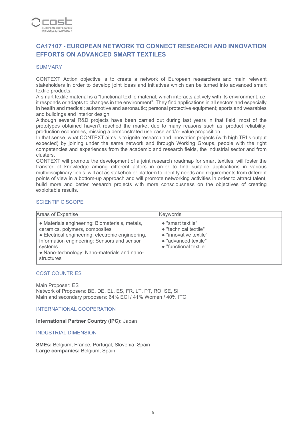

## **CA17107 - EUROPEAN NETWORK TO CONNECT RESEARCH AND INNOVATION EFFORTS ON ADVANCED SMART TEXTILES**

#### **SUMMARY**

CONTEXT Action objective is to create a network of European researchers and main relevant stakeholders in order to develop joint ideas and initiatives which can be turned into advanced smart textile products.

A smart textile material is a "functional textile material, which interacts actively with its environment, i.e. it responds or adapts to changes in the environment". They find applications in all sectors and especially in health and medical; automotive and aeronautic; personal protective equipment; sports and wearables and buildings and interior design.

Although several R&D projects have been carried out during last years in that field, most of the prototypes obtained haven't reached the market due to many reasons such as: product reliability, production economies, missing a demonstrated use case and/or value proposition.

In that sense, what CONTEXT aims is to ignite research and innovation projects (with high TRLs output expected) by joining under the same network and through Working Groups, people with the right competencies and experiences from the academic and research fields, the industrial sector and from clusters.

CONTEXT will promote the development of a joint research roadmap for smart textiles, will foster the transfer of knowledge among different actors in order to find suitable applications in various multidisciplinary fields, will act as stakeholder platform to identify needs and requirements from different points of view in a bottom-up approach and will promote networking activities in order to attract talent, build more and better research projects with more consciousness on the objectives of creating exploitable results.

#### SCIENTIFIC SCOPE

| Areas of Expertise                                                                                                                                                                                                                                           | Keywords                                                                                                                       |
|--------------------------------------------------------------------------------------------------------------------------------------------------------------------------------------------------------------------------------------------------------------|--------------------------------------------------------------------------------------------------------------------------------|
| • Materials engineering: Biomaterials, metals,<br>ceramics, polymers, composites<br>• Electrical engineering, electronic engineering,<br>Information engineering: Sensors and sensor<br>systems<br>• Nano-technology: Nano-materials and nano-<br>structures | $\bullet$ "smart textile"<br>• "technical textile"<br>• "innovative textile"<br>• "advanced textile"<br>• "functional textile" |

#### COST COUNTRIES

Main Proposer: ES Network of Proposers: BE, DE, EL, ES, FR, LT, PT, RO, SE, SI Main and secondary proposers: 64% ECI / 41% Women / 40% ITC

INTERNATIONAL COOPERATION

**International Partner Country (IPC):** Japan

INDUSTRIAL DIMENSION

**SMEs:** Belgium, France, Portugal, Slovenia, Spain **Large companies:** Belgium, Spain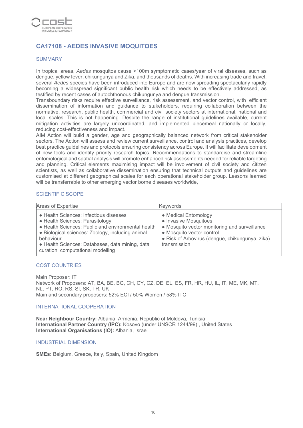

## **CA17108 - AEDES INVASIVE MOQUITOES**

#### SUMMARY

In tropical areas, *Aedes* mosquitos cause >100m symptomatic cases/year of viral diseases, such as dengue, yellow fever, chikungunya and Zika, and thousands of deaths. With increasing trade and travel, several *Aedes* species have been introduced into Europe and are now spreading spectacularly rapidly becoming a widespread significant public health risk which needs to be effectively addressed, as testified by recent cases of autochthonous chikungunya and dengue transmission.

Transboundary risks require effective surveillance, risk assessment, and vector control, with efficient dissemination of information and guidance to stakeholders, requiring collaboration between the normative, research, public health, commercial and civil society sectors at international, national and local scales. This is not happening. Despite the range of institutional guidelines available, current mitigation activities are largely uncoordinated, and implemented piecemeal nationally or locally, reducing cost-effectiveness and impact.

AIM Action will build a gender, age and geographically balanced network from critical stakeholder sectors. The Action will assess and review current surveillance, control and analysis practices, develop best practice guidelines and protocols ensuring consistency across Europe. It will facilitate development of new tools and identify priority research topics. Recommendations to standardise and streamline entomological and spatial analysis will promote enhanced risk assessments needed for reliable targeting and planning. Critical elements maximising impact will be involvement of civil society and citizen scientists, as well as collaborative dissemination ensuring that technical outputs and guidelines are customised at different geographical scales for each operational stakeholder group. Lessons learned will be transferrable to other emerging vector borne diseases worldwide.

#### SCIENTIFIC SCOPE

| Areas of Expertise                                                                                                                                                                                                                                                                       | <b>Keywords</b>                                                                                                                                                                                |
|------------------------------------------------------------------------------------------------------------------------------------------------------------------------------------------------------------------------------------------------------------------------------------------|------------------------------------------------------------------------------------------------------------------------------------------------------------------------------------------------|
| • Health Sciences: Infectious diseases<br>• Health Sciences: Parasitology<br>• Health Sciences: Public and environmental health<br>• Biological sciences: Zoology, including animal<br>behaviour<br>• Health Sciences: Databases, data mining, data<br>curation, computational modelling | • Medical Entomology<br>• Invasive Mosquitoes<br>• Mosquito vector monitoring and surveillance<br>• Mosquito vector control<br>• Risk of Arbovirus (dengue, chikungunya, zika)<br>transmission |

#### COST COUNTRIES

Main Proposer: IT Network of Proposers: AT, BA, BE, BG, CH, CY, CZ, DE, EL, ES, FR, HR, HU, IL, IT, ME, MK, MT, NL, PT, RO, RS, SI, SK, TR, UK Main and secondary proposers: 52% ECI / 50% Women / 58% ITC

#### INTERNATIONAL COOPERATION

**Near Neighbour Country:** Albania, Armenia, Republic of Moldova, Tunisia **International Partner Country (IPC):** Kosovo (under UNSCR 1244/99) , United States **International Organisations (IO):** Albania, Israel

#### INDUSTRIAL DIMENSION

**SMEs:** Belgium, Greece, Italy, Spain, United Kingdom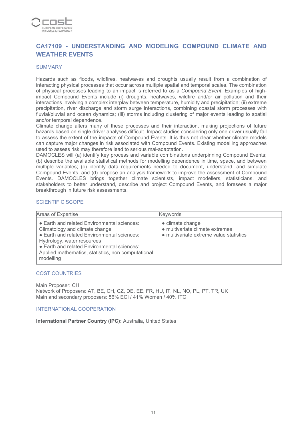

## **CA17109 - UNDERSTANDING AND MODELING COMPOUND CLIMATE AND WEATHER EVENTS**

#### **SUMMARY**

Hazards such as floods, wildfires, heatwaves and droughts usually result from a combination of interacting physical processes that occur across multiple spatial and temporal scales. The combination of physical processes leading to an impact is referred to as a *Compound Event*. Examples of highimpact Compound Events include (i) droughts, heatwaves, wildfire and/or air pollution and their interactions involving a complex interplay between temperature, humidity and precipitation; (ii) extreme precipitation, river discharge and storm surge interactions, combining coastal storm processes with fluvial/pluvial and ocean dynamics; (iii) storms including clustering of major events leading to spatial and/or temporal dependence.

Climate change alters many of these processes and their interaction, making projections of future hazards based on single driver analyses difficult. Impact studies considering only one driver usually fail to assess the extent of the impacts of Compound Events. It is thus not clear whether climate models can capture major changes in risk associated with Compound Events. Existing modelling approaches used to assess risk may therefore lead to serious mal-adaptation.

DAMOCLES will (a) identify key process and variable combinations underpinning Compound Events; (b) describe the available statistical methods for modelling dependence in time, space, and between multiple variables; (c) identify data requirements needed to document, understand, and simulate Compound Events, and (d) propose an analysis framework to improve the assessment of Compound Events. DAMOCLES brings together climate scientists, impact modellers, statisticians, and stakeholders to better understand, describe and project Compound Events, and foresees a major breakthrough in future risk assessments.

#### SCIENTIFIC SCOPE

| Areas of Expertise                                                                                                                                                                                                                                                           | Keywords                                                                                       |
|------------------------------------------------------------------------------------------------------------------------------------------------------------------------------------------------------------------------------------------------------------------------------|------------------------------------------------------------------------------------------------|
| • Earth and related Environmental sciences:<br>Climatology and climate change<br>• Earth and related Environmental sciences:<br>Hydrology, water resources<br>• Earth and related Environmental sciences:<br>Applied mathematics, statistics, non computational<br>modelling | • climate change<br>• multivariate climate extremes<br>• multivariate extreme value statistics |

#### COST COUNTRIES

Main Proposer: CH Network of Proposers: AT, BE, CH, CZ, DE, EE, FR, HU, IT, NL, NO, PL, PT, TR, UK Main and secondary proposers: 56% ECI / 41% Women / 40% ITC

#### INTERNATIONAL COOPERATION

**International Partner Country (IPC):** Australia, United States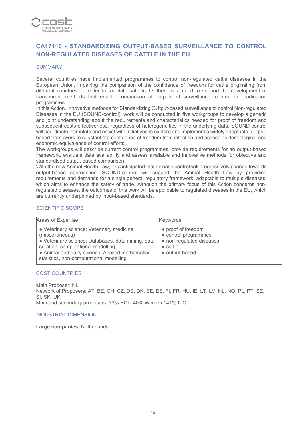

## **CA17110 - STANDARDIZING OUTPUT-BASED SURVEILLANCE TO CONTROL NON-REGULATED DISEASES OF CATTLE IN THE EU**

#### **SUMMARY**

Several countries have implemented programmes to control non-regulated cattle diseases in the European Union, impairing the comparison of the confidence of freedom for cattle originating from different countries. In order to facilitate safe trade, there is a need to support the development of transparent methods that enable comparison of outputs of surveillance, control or eradication programmes.

In this Action, Innovative methods for Standardizing OUtput-based surveillance to control Non-regulated Diseases in the EU (SOUND-control), work will be conducted in five workgroups to develop a generic and joint understanding about the requirements and characteristics needed for proof of freedom and subsequent costs-effectiveness, regardless of heterogeneities in the underlying data. SOUND-control will coordinate, stimulate and assist with initiatives to explore and implement a widely adaptable, outputbased framework to substantiate confidence of freedom from infection and assess epidemiological and economic equivalence of control efforts.

The workgroups will describe current control programmes, provide requirements for an output-based framework, evaluate data availability and assess available and innovative methods for objective and standardised output-based comparison.

With the new Animal Health Law, it is anticipated that disease control will progressively change towards output-based approaches. SOUND-control will support the Animal Health Law by providing requirements and demands for a single general regulatory framework, adaptable to multiple diseases, which aims to enhance the safety of trade. Although the primary focus of this Action concerns nonregulated diseases, the outcomes of this work will be applicable to regulated diseases in the EU, which are currently underpinned by input-based standards.

#### SCIENTIFIC SCOPE

| Areas of Expertise                                                                                                                                                                                                                                     | <b>Keywords</b>                                                                                              |
|--------------------------------------------------------------------------------------------------------------------------------------------------------------------------------------------------------------------------------------------------------|--------------------------------------------------------------------------------------------------------------|
| • Veterinary science: Veterinary medicine<br>(miscellaneous)<br>· Veterinary science: Databases, data mining, data<br>curation, computational modelling<br>• Animal and dairy science: Applied mathematics,<br>statistics, non-computational modelling | • proof of freedom<br>• control programmes<br>• non-regulated diseases<br>$\bullet$ cattle<br>• output-based |

#### COST COUNTRIES

Main Proposer: NL Network of Proposers: AT, BE, CH, CZ, DE, DK, EE, ES, FI, FR, HU, IE, LT, LV, NL, NO, PL, PT, SE, SI, SK, UK Main and secondary proposers: 33% ECI / 40% Women / 41% ITC

#### INDUSTRIAL DIMENSION

**Large companies:** Netherlands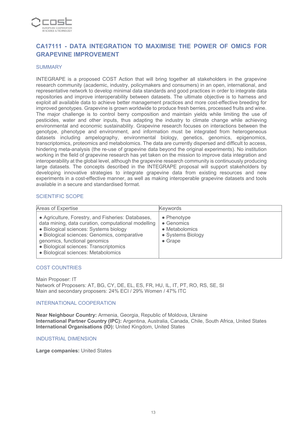

## **CA17111 - DATA INTEGRATION TO MAXIMISE THE POWER OF OMICS FOR GRAPEVINE IMPROVEMENT**

#### **SUMMARY**

INTEGRAPE is a proposed COST Action that will bring together all stakeholders in the grapevine research community (academic, industry, policymakers and consumers) in an open, international, and representative network to develop minimal data standards and good practices in order to integrate data repositories and improve interoperability between datasets. The ultimate objective is to harness and exploit all available data to achieve better management practices and more cost-effective breeding for improved genotypes. Grapevine is grown worldwide to produce fresh berries, processed fruits and wine. The major challenge is to control berry composition and maintain yields while limiting the use of pesticides, water and other inputs, thus adapting the industry to climate change while achieving environmental and economic sustainability. Grapevine research focuses on interactions between the genotype, phenotype and environment, and information must be integrated from heterogeneous datasets including ampelography, environmental biology, genetics, genomics, epigenomics, transcriptomics, proteomics and metabolomics. The data are currently dispersed and difficult to access, hindering meta-analysis (the re-use of grapevine data beyond the original experiments). No institution working in the field of grapevine research has yet taken on the mission to improve data integration and interoperability at the global level, although the grapevine research community is continuously producing large datasets. The concepts described in the INTEGRAPE proposal will support stakeholders by developing innovative strategies to integrate grapevine data from existing resources and new experiments in a cost-effective manner, as well as making interoperable grapevine datasets and tools available in a secure and standardised format.

#### SCIENTIFIC SCOPE

| Areas of Expertise                                                                                                                                                                                                                                                                                                    | <b>Keywords</b>                                                                                     |
|-----------------------------------------------------------------------------------------------------------------------------------------------------------------------------------------------------------------------------------------------------------------------------------------------------------------------|-----------------------------------------------------------------------------------------------------|
| • Agriculture, Forestry, and Fisheries: Databases,<br>data mining, data curation, computational modelling<br>· Biological sciences: Systems biology<br>· Biological sciences: Genomics, comparative<br>genomics, functional genomics<br>· Biological sciences: Transcriptomics<br>· Biological sciences: Metabolomics | $\bullet$ Phenotype<br>$\bullet$ Genomics<br>• Metabolomics<br>• Systems Biology<br>$\bullet$ Grape |

#### COST COUNTRIES

Main Proposer: IT Network of Proposers: AT, BG, CY, DE, EL, ES, FR, HU, IL, IT, PT, RO, RS, SE, SI Main and secondary proposers: 24% ECI / 29% Women / 47% ITC

#### INTERNATIONAL COOPERATION

**Near Neighbour Country:** Armenia, Georgia, Republic of Moldova, Ukraine **International Partner Country (IPC):** Argentina, Australia, Canada, Chile, South Africa, United States **International Organisations (IO):** United Kingdom, United States

INDUSTRIAL DIMENSION

**Large companies:** United States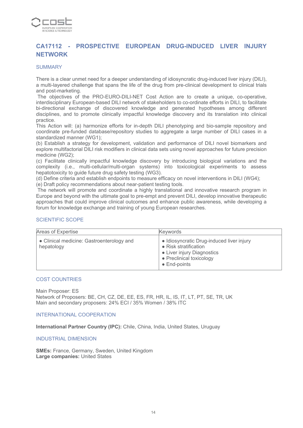

## **CA17112 - PROSPECTIVE EUROPEAN DRUG-INDUCED LIVER INJURY NETWORK**

#### **SUMMARY**

There is a clear unmet need for a deeper understanding of idiosyncratic drug-induced liver injury (DILI), a multi-layered challenge that spans the life of the drug from pre-clinical development to clinical trials and post-marketing.

 The objectives of the PRO-EURO-DILI-NET Cost Action are to create a unique, co-operative, interdisciplinary European-based DILI network of stakeholders to co-ordinate efforts in DILI, to facilitate bi-directional exchange of discovered knowledge and generated hypotheses among different disciplines, and to promote clinically impactful knowledge discovery and its translation into clinical practice.

This Action will: (a) harmonize efforts for in-depth DILI phenotyping and bio-sample repository and coordinate pre-funded database/repository studies to aggregate a large number of DILI cases in a standardized manner (WG1);

(b) Establish a strategy for development, validation and performance of DILI novel biomarkers and explore multifactorial DILI risk modifiers in clinical data sets using novel approaches for future precision medicine (WG2);

(c) Facilitate clinically impactful knowledge discovery by introducing biological variations and the complexity (i.e., multi-cellular/multi-organ systems) into toxicological experiments to assess hepatotoxicity to quide future drug safety testing (WG3).

(d) Define criteria and establish endpoints to measure efficacy on novel interventions in DILI (WG4);

(e) Draft policy recommendations about near-patient testing tools.

 The network will promote and coordinate a highly translational and innovative research program in Europe and beyond with the ultimate goal to pre-empt and prevent DILI, develop innovative therapeutic approaches that could improve clinical outcomes and enhance public awareness, while developing a forum for knowledge exchange and training of young European researches.

#### SCIENTIFIC SCOPE

| Areas of Expertise                                      | Keywords                                                                                                                                             |
|---------------------------------------------------------|------------------------------------------------------------------------------------------------------------------------------------------------------|
| • Clinical medicine: Gastroenterology and<br>hepatology | • Idiosyncratic Drug-induced liver injury<br>• Risk stratification<br>• Liver injury Diagnostics<br>• Preclinical toxicology<br>$\bullet$ End-points |

#### COST COUNTRIES

Main Proposer: ES Network of Proposers: BE, CH, CZ, DE, EE, ES, FR, HR, IL, IS, IT, LT, PT, SE, TR, UK Main and secondary proposers: 24% ECI / 35% Women / 38% ITC

#### INTERNATIONAL COOPERATION

**International Partner Country (IPC):** Chile, China, India, United States, Uruguay

#### INDUSTRIAL DIMENSION

**SMEs:** France, Germany, Sweden, United Kingdom **Large companies:** United States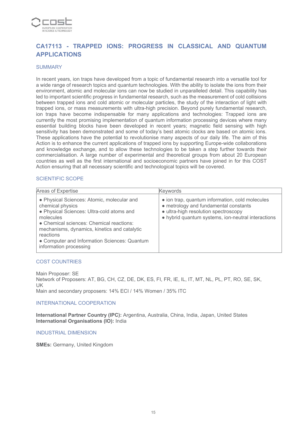

## **CA17113 - TRAPPED IONS: PROGRESS IN CLASSICAL AND QUANTUM APPLICATIONS**

#### **SUMMARY**

In recent years, ion traps have developed from a topic of fundamental research into a versatile tool for a wide range of research topics and quantum technologies. With the ability to isolate the ions from their environment, atomic and molecular ions can now be studied in unparalleled detail. This capability has led to important scientific progress in fundamental research, such as the measurement of cold collisions between trapped ions and cold atomic or molecular particles, the study of the interaction of light with trapped ions, or mass measurements with ultra-high precision. Beyond purely fundamental research, ion traps have become indispensable for many applications and technologies: Trapped ions are currently the most promising implementation of quantum information processing devices where many essential building blocks have been developed in recent years; magnetic field sensing with high sensitivity has been demonstrated and some of today's best atomic clocks are based on atomic ions. These applications have the potential to revolutionise many aspects of our daily life. The aim of this Action is to enhance the current applications of trapped ions by supporting Europe-wide collaborations and knowledge exchange, and to allow these technologies to be taken a step further towards their commercialisation. A large number of experimental and theoretical groups from about 20 European countries as well as the first international and socioeconomic partners have joined in for this COST Action ensuring that all necessary scientific and technological topics will be covered.

#### SCIENTIFIC SCOPE

| Areas of Expertise                                                                                                                                                                                                                                                                                          | Keywords                                                                                                                                                                               |
|-------------------------------------------------------------------------------------------------------------------------------------------------------------------------------------------------------------------------------------------------------------------------------------------------------------|----------------------------------------------------------------------------------------------------------------------------------------------------------------------------------------|
| • Physical Sciences: Atomic, molecular and<br>chemical physics<br>• Physical Sciences: Ultra-cold atoms and<br>molecules<br>• Chemical sciences: Chemical reactions:<br>mechanisms, dynamics, kinetics and catalytic<br>reactions<br>• Computer and Information Sciences: Quantum<br>information processing | • ion trap, quantum information, cold molecules<br>• metrology and fundamental constants<br>• ultra-high resolution spectroscopy<br>• hybrid quantum systems, ion-neutral interactions |

#### COST COUNTRIES

Main Proposer: SE Network of Proposers: AT, BG, CH, CZ, DE, DK, ES, FI, FR, IE, IL, IT, MT, NL, PL, PT, RO, SE, SK, UK Main and secondary proposers: 14% ECI / 14% Women / 35% ITC

#### INTERNATIONAL COOPERATION

**International Partner Country (IPC):** Argentina, Australia, China, India, Japan, United States **International Organisations (IO):** India

INDUSTRIAL DIMENSION

**SMEs:** Germany, United Kingdom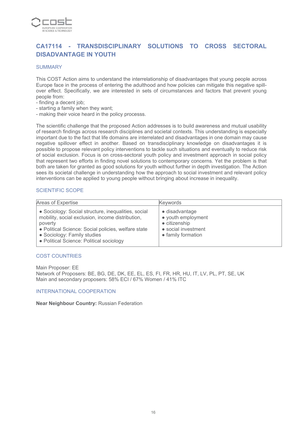

## **CA17114 - TRANSDISCIPLINARY SOLUTIONS TO CROSS SECTORAL DISADVANTAGE IN YOUTH**

#### **SUMMARY**

This COST Action aims to understand the interrelationship of disadvantages that young people across Europe face in the process of entering the adulthood and how policies can mitigate this negative spillover effect. Specifically, we are interested in sets of circumstances and factors that prevent young people from:

- finding a decent job;
- starting a family when they want;
- making their voice heard in the policy processs.

The scientific challenge that the proposed Action addresses is to build awareness and mutual usability of research findings across research disciplines and societal contexts. This understanding is especially important due to the fact that life domains are interrelated and disadvantages in one domain may cause negative spillover effect in another. Based on transdisciplinary knowledge on disadvantages it is possible to propose relevant policy interventions to tackle such situations and eventually to reduce risk of social exclusion. Focus is on cross-sectoral youth policy and investment approach in social policy that represent two efforts in finding novel solutions to contemporary concerns. Yet the problem is that both are taken for granted as good solutions for youth without further in depth investigation. The Action sees its societal challenge in understanding how the approach to social investment and relevant policy interventions can be applied to young people without bringing about increase in inequality.

#### SCIENTIFIC SCOPE

| Areas of Expertise                                                                                                                                                                                                                                   | Keywords                                                                                                   |
|------------------------------------------------------------------------------------------------------------------------------------------------------------------------------------------------------------------------------------------------------|------------------------------------------------------------------------------------------------------------|
| • Sociology: Social structure, inequalities, social<br>mobility, social exclusion, income distribution,<br>poverty<br>• Political Science: Social policies, welfare state<br>• Sociology: Family studies<br>• Political Science: Political sociology | • disadvantage<br>• youth employment<br>$\bullet$ citizenship<br>• social investment<br>• family formation |

#### COST COUNTRIES

Main Proposer: EE Network of Proposers: BE, BG, DE, DK, EE, EL, ES, FI, FR, HR, HU, IT, LV, PL, PT, SE, UK Main and secondary proposers: 58% ECI / 67% Women / 41% ITC

#### INTERNATIONAL COOPERATION

**Near Neighbour Country:** Russian Federation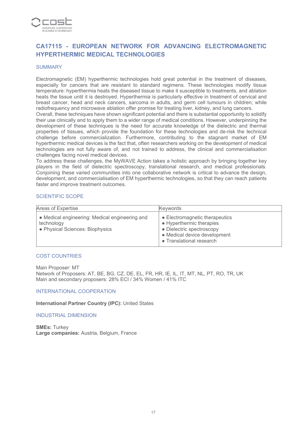

## **CA17115 - EUROPEAN NETWORK FOR ADVANCING ELECTROMAGNETIC HYPERTHERMIC MEDICAL TECHNOLOGIES**

#### **SUMMARY**

Electromagnetic (EM) hyperthermic technologies hold great potential in the treatment of diseases, especially for cancers that are resistant to standard regimens. These technologies modify tissue temperature: hyperthermia heats the diseased tissue to make it susceptible to treatments, and ablation heats the tissue until it is destroyed. Hyperthermia is particularly effective in treatment of cervical and breast cancer, head and neck cancers, sarcoma in adults, and germ cell tumours in children; while radiofrequency and microwave ablation offer promise for treating liver, kidney, and lung cancers.

Overall, these techniques have shown significant potential and there is substantial opportunity to solidify their use clinically and to apply them to a wider range of medical conditions. However, underpinning the development of these techniques is the need for accurate knowledge of the dielectric and thermal properties of tissues, which provide the foundation for these technologies and de-risk the technical challenge before commercialization. Furthermore, contributing to the stagnant market of EM hyperthermic medical devices is the fact that, often researchers working on the development of medical technologies are not fully aware of, and not trained to address, the clinical and commercialisation challenges facing novel medical devices.

To address these challenges, the MyWAVE Action takes a holistic approach by bringing together key players in the field of dielectric spectroscopy, translational research, and medical professionals. Conjoining these varied communities into one collaborative network is critical to advance the design, development, and commercialisation of EM hyperthermic technologies, so that they can reach patients faster and improve treatment outcomes.

#### SCIENTIFIC SCOPE

| Areas of Expertise                                                                              | <b>Keywords</b>                                                                                                                                     |
|-------------------------------------------------------------------------------------------------|-----------------------------------------------------------------------------------------------------------------------------------------------------|
| • Medical engineering: Medical engineering and<br>technology<br>• Physical Sciences: Biophysics | • Electromagnetic therapeutics<br>• Hyperthermic therapies<br>• Dielectric spectroscopy<br>• Medical device development<br>• Translational research |

#### COST COUNTRIES

Main Proposer: MT Network of Proposers: AT, BE, BG, CZ, DE, EL, FR, HR, IE, IL, IT, MT, NL, PT, RO, TR, UK Main and secondary proposers: 28% ECI / 34% Women / 41% ITC

INTERNATIONAL COOPERATION

**International Partner Country (IPC):** United States

INDUSTRIAL DIMENSION

**SMEs:** Turkey **Large companies:** Austria, Belgium, France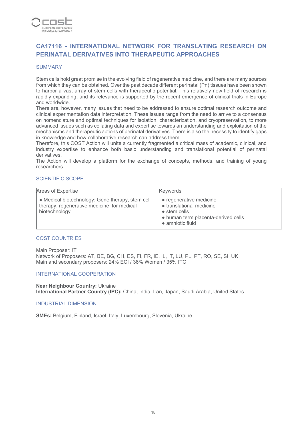

## **CA17116 - INTERNATIONAL NETWORK FOR TRANSLATING RESEARCH ON PERINATAL DERIVATIVES INTO THERAPEUTIC APPROACHES**

#### **SUMMARY**

Stem cells hold great promise in the evolving field of regenerative medicine, and there are many sources from which they can be obtained. Over the past decade different perinatal (Pn) tissues have been shown to harbor a vast array of stem cells with therapeutic potential. This relatively new field of research is rapidly expanding, and its relevance is supported by the recent emergence of clinical trials in Europe and worldwide.

There are, however, many issues that need to be addressed to ensure optimal research outcome and clinical experimentation data interpretation. These issues range from the need to arrive to a consensus on nomenclature and optimal techniques for isolation, characterization, and cryopreservation, to more advanced issues such as collating data and expertise towards an understanding and exploitation of the mechanisms and therapeutic actions of perinatal derivatives. There is also the necessity to identify gaps in knowledge and how collaborative research can address them.

Therefore, this COST Action will unite a currently fragmented a critical mass of academic, clinical, and industry expertise to enhance both basic understanding and translational potential of perinatal derivatives.

The Action will develop a platform for the exchange of concepts, methods, and training of young researchers.

#### SCIENTIFIC SCOPE

| Areas of Expertise                                                                                              | <b>Keywords</b>                                                                                                                        |
|-----------------------------------------------------------------------------------------------------------------|----------------------------------------------------------------------------------------------------------------------------------------|
| • Medical biotechnology: Gene therapy, stem cell<br>therapy, regenerative medicine for medical<br>biotechnology | • regenerative medicine<br>• translational medicine<br>$\bullet$ stem cells<br>• human term placenta-derived cells<br>• amniotic fluid |

#### COST COUNTRIES

Main Proposer: IT Network of Proposers: AT, BE, BG, CH, ES, FI, FR, IE, IL, IT, LU, PL, PT, RO, SE, SI, UK Main and secondary proposers: 24% ECI / 36% Women / 35% ITC

#### INTERNATIONAL COOPERATION

**Near Neighbour Country:** Ukraine **International Partner Country (IPC):** China, India, Iran, Japan, Saudi Arabia, United States

#### INDUSTRIAL DIMENSION

**SMEs:** Belgium, Finland, Israel, Italy, Luxembourg, Slovenia, Ukraine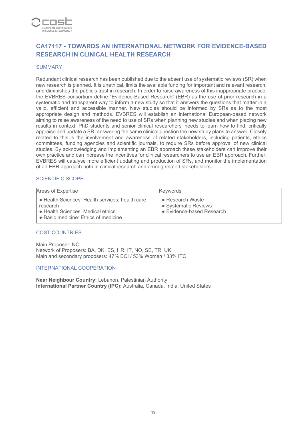

## **CA17117 - TOWARDS AN INTERNATIONAL NETWORK FOR EVIDENCE-BASED RESEARCH IN CLINICAL HEALTH RESEARCH**

#### **SUMMARY**

Redundant clinical research has been published due to the absent use of systematic reviews (SR) when new research is planned. It is unethical, limits the available funding for important and relevant research, and diminishes the public's trust in research. In order to raise awareness of this inappropriate practice, the EVBRES-consortium define "Evidence-Based Research" (EBR) as the use of prior research in a systematic and transparent way to inform a new study so that it answers the questions that matter in a valid, efficient and accessible manner. New studies should be informed by SRs as to the most appropriate design and methods. EVBRES will establish an international European-based network aiming to raise awareness of the need to use of SRs when planning new studies and when placing new results in context. PhD students and senior clinical researchers' needs to learn how to find, critically appraise and update a SR, answering the same clinical question the new study plans to answer. Closely related to this is the involvement and awareness of related stakeholders, including patients, ethics committees, funding agencies and scientific journals, to require SRs before approval of new clinical studies. By acknowledging and implementing an EBR approach these stakeholders can improve their own practice and can increase the incentives for clinical researchers to use an EBR approach. Further, EVBRES will catalyse more efficient updating and production of SRs, and monitor the implementation of an EBR approach both in clinical research and among related stakeholders.

#### SCIENTIFIC SCOPE

| Areas of Expertise                                                                                                                       | <b>Keywords</b>                                                               |
|------------------------------------------------------------------------------------------------------------------------------------------|-------------------------------------------------------------------------------|
| • Health Sciences: Health services, health care<br>research<br>• Health Sciences: Medical ethics<br>• Basic medicine: Ethics of medicine | $\bullet$ Research Waste<br>• Systematic Reviews<br>• Evidence-based Research |

#### COST COUNTRIES

Main Proposer: NO Network of Proposers: BA, DK, ES, HR, IT, NO, SE, TR, UK Main and secondary proposers: 47% ECI / 53% Women / 33% ITC

#### INTERNATIONAL COOPERATION

**Near Neighbour Country:** Lebanon, Palestinian Authority **International Partner Country (IPC):** Australia, Canada, India, United States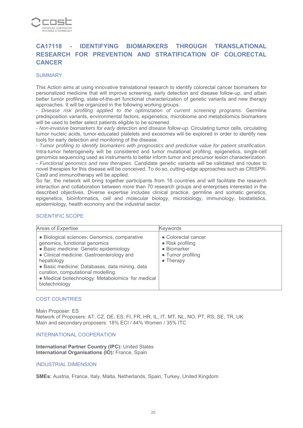

## **CA17118 - IDENTIFYING BIOMARKERS THROUGH TRANSLATIONAL RESEARCH FOR PREVENTION AND STRATIFICATION OF COLORECTAL CANCER**

#### **SUMMARY**

This Action aims at using innovative translational research to identify colorectal cancer biomarkers for personalized medicine that will improve screening, early detection and disease follow-up, and attain better tumor profiling, state-of-the-art functional characterization of genetic variants and new therapy approaches. It will be organized in the following working groups:

- *Disease risk profiling applied to the optimization of current screening programs*. Germline predisposition variants, environmental factors, epigenetics, microbiome and metabolomics biomarkers will be used to better select patients eligible to be screened.

- *Non-invasive biomarkers for early detection and disease follow-up*. Circulating tumor cells, circulating tumor nucleic acids, tumor-educated platelets and exosomes will be explored in order to identify new tools for early detection and monitoring of the disease.

- *Tumor profiling to identify biomarkers with prognostics and predictive value for patient stratification*. Intra-tumor heterogeneity will be considered and tumor mutational profiling, epigenetics, single-cell genomics sequencing used as instruments to better inform tumor and precursor lesion characterization. - *Functional genomics and new therapies*. Candidate genetic variants will be validated and routes to novel therapies for this disease will be conceived. To do so, cutting-edge approaches such as CRISPR-Cas9 and immunotherapy will be applied.

So far, the network will bring together participants from 18 countries and will facilitate the research interaction and collaboration between more than 70 research groups and enterprises interested in the described objectives. Diverse expertise includes clinical practice, germline and somatic genetics, epigenetics, bioinformatics, cell and molecular biology, microbiology, immunology, biostatistics, epidemiology, health economy and the industrial sector.

#### SCIENTIFIC SCOPE

| Areas of Expertise                                                                                                                                                                                                                                                                                                                              | <b>Keywords</b>                                                                                          |
|-------------------------------------------------------------------------------------------------------------------------------------------------------------------------------------------------------------------------------------------------------------------------------------------------------------------------------------------------|----------------------------------------------------------------------------------------------------------|
| · Biological sciences: Genomics, comparative<br>genomics, functional genomics<br>· Basic medicine: Genetic epidemiology<br>• Clinical medicine: Gastroenterology and<br>hepatology<br>• Basic medicine: Databases, data mining, data<br>curation, computational modelling<br>• Medical biotechnology: Metabolomics for medical<br>biotechnology | • Colorectal cancer<br>$\bullet$ Risk profiling<br>• Biomarker<br>• Tumor profiling<br>$\bullet$ Therapy |

#### COST COUNTRIES

Main Proposer: ES Network of Proposers: AT, CZ, DE, ES, FI, FR, HR, IL, IT, MT, NL, NO, PT, RS, SE, TR, UK Main and secondary proposers: 18% ECI / 44% Women / 35% ITC

#### INTERNATIONAL COOPERATION

**International Partner Country (IPC):** United States **International Organisations (IO):** France, Spain

#### INDUSTRIAL DIMENSION

**SMEs:** Austria, France, Italy, Malta, Netherlands, Spain, Turkey, United Kingdom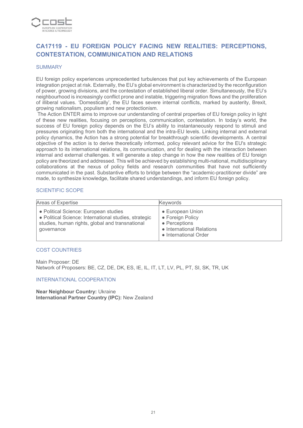

## **CA17119 - EU FOREIGN POLICY FACING NEW REALITIES: PERCEPTIONS, CONTESTATION, COMMUNICATION AND RELATIONS**

#### **SUMMARY**

EU foreign policy experiences unprecedented turbulences that put key achievements of the European integration project at risk. Externally, the EU's global environment is characterized by the reconfiguration of power, growing divisions, and the contestation of established liberal order. Simultaneously, the EU's neighbourhood is increasingly conflict prone and instable, triggering migration flows and the proliferation of illiberal values. 'Domestically', the EU faces severe internal conflicts, marked by austerity, Brexit, growing nationalism, populism and new protectionism.

 The Action ENTER aims to improve our understanding of central properties of EU foreign policy in light of these new realities, focusing on perceptions, communication, contestation. In today's world, the success of EU foreign policy depends on the EU's ability to instantaneously respond to stimuli and pressures originating from both the international and the intra-EU levels. Linking internal and external policy dynamics, the Action has a strong potential for breakthrough scientific developments. A central objective of the action is to derive theoretically informed, policy relevant advice for the EU's strategic approach to its international relations, its communication, and for dealing with the interaction between internal and external challenges. It will generate a step change in how the new realities of EU foreign policy are theorized and addressed. This will be achieved by establishing multi-national, multidisciplinary collaborations at the nexus of policy fields and research communities that have not sufficiently communicated in the past. Substantive efforts to bridge between the "academic-practitioner divide" are made, to synthesize knowledge, facilitate shared understandings, and inform EU foreign policy.

#### SCIENTIFIC SCOPE

| Areas of Expertise                                                                                                                                              | <b>Kevwords</b>                                                                                             |
|-----------------------------------------------------------------------------------------------------------------------------------------------------------------|-------------------------------------------------------------------------------------------------------------|
| • Political Science: European studies<br>• Political Science: International studies, strategic<br>studies, human rights, global and transnational<br>governance | • European Union<br>• Foreign Policy<br>• Perceptions<br>• International Relations<br>• International Order |

#### COST COUNTRIES

Main Proposer: DE Network of Proposers: BE, CZ, DE, DK, ES, IE, IL, IT, LT, LV, PL, PT, SI, SK, TR, UK

#### INTERNATIONAL COOPERATION

**Near Neighbour Country:** Ukraine **International Partner Country (IPC):** New Zealand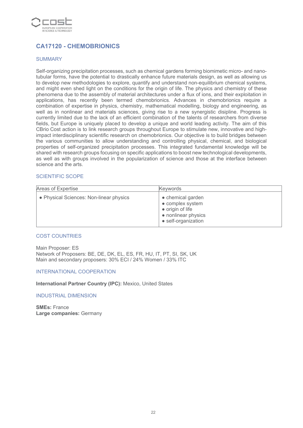

## **CA17120 - CHEMOBRIONICS**

#### SUMMARY

Self-organizing precipitation processes, such as chemical gardens forming biomimetic micro- and nanotubular forms, have the potential to drastically enhance future materials design, as well as allowing us to develop new methodologies to explore, quantify and understand non-equilibrium chemical systems, and might even shed light on the conditions for the origin of life. The physics and chemistry of these phenomena due to the assembly of material architectures under a flux of ions, and their exploitation in applications, has recently been termed chemobrionics. Advances in chemobrionics require a combination of expertise in physics, chemistry, mathematical modelling, biology and engineering, as well as in nonlinear and materials sciences, giving rise to a new synergistic disipline. Progress is currently limited due to the lack of an efficient combination of the talents of researchers from diverse fields, but Europe is uniquely placed to develop a unique and world leading activity. The aim of this CBrio Cost action is to link research groups throughout Europe to stimulate new, innovative and highimpact interdisciplinary scientific research on chemobrionics. Our objective is to build bridges between the various communities to allow understanding and controlling physical, chemical, and biological properties of self-organized precipitation processes. This integrated fundamental knowledge will be shared with research groups focusing on specific applications to boost new technological developments, as well as with groups involved in the popularization of science and those at the interface between science and the arts.

#### SCIENTIFIC SCOPE

| Areas of Expertise                      | <b>Keywords</b>                                                                                         |
|-----------------------------------------|---------------------------------------------------------------------------------------------------------|
| • Physical Sciences: Non-linear physics | • chemical garden<br>• complex system<br>• origin of life<br>• nonlinear physics<br>• self-organization |

#### COST COUNTRIES

Main Proposer: ES Network of Proposers: BE, DE, DK, EL, ES, FR, HU, IT, PT, SI, SK, UK Main and secondary proposers: 30% ECI / 24% Women / 33% ITC

#### INTERNATIONAL COOPERATION

**International Partner Country (IPC): Mexico, United States** 

#### INDUSTRIAL DIMENSION

**SMEs:** France **Large companies:** Germany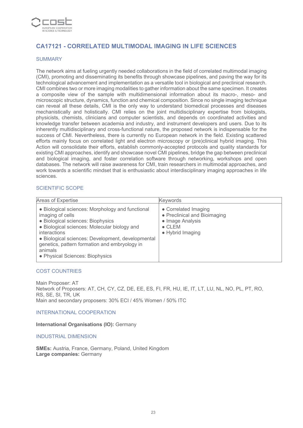

## **CA17121 - CORRELATED MULTIMODAL IMAGING IN LIFE SCIENCES**

#### SUMMARY

The network aims at fueling urgently needed collaborations in the field of correlated multimodal imaging (CMI), promoting and disseminating its benefits through showcase pipelines, and paving the way for its technological advancement and implementation as a versatile tool in biological and preclinical research. CMI combines two or more imaging modalities to gather information about the same specimen. It creates a composite view of the sample with multidimensional information about its macro-, meso- and microscopic structure, dynamics, function and chemical composition. Since no single imaging technique can reveal all these details, CMI is the only way to understand biomedical processes and diseases mechanistically and holistically. CMI relies on the joint multidisciplinary expertise from biologists, physicists, chemists, clinicians and computer scientists, and depends on coordinated activities and knowledge transfer between academia and industry, and instrument developers and users. Due to its inherently multidisciplinary and cross-functional nature, the proposed network is indispensable for the success of CMI. Nevertheless, there is currently no European network in the field. Existing scattered efforts mainly focus on correlated light and electron microscopy or (pre)clinical hybrid imaging. This Action will consolidate their efforts, establish commonly-accepted protocols and quality standards for existing CMI approaches, identify and showcase novel CMI pipelines, bridge the gap between preclinical and biological imaging, and foster correlation software through networking, workshops and open databases. The network will raise awareness for CMI, train researchers in multimodal approaches, and work towards a scientific mindset that is enthusiastic about interdisciplinary imaging approaches in life sciences.

## SCIENTIFIC SCOPE

| Areas of Expertise                                                                                                                                                                                                                                                                                                            | Keywords                                                                                                       |
|-------------------------------------------------------------------------------------------------------------------------------------------------------------------------------------------------------------------------------------------------------------------------------------------------------------------------------|----------------------------------------------------------------------------------------------------------------|
| • Biological sciences: Morphology and functional<br>imaging of cells<br>· Biological sciences: Biophysics<br>· Biological sciences: Molecular biology and<br>interactions<br>• Biological sciences: Development, developmental<br>genetics, pattern formation and embryology in<br>animals<br>• Physical Sciences: Biophysics | • Correlated Imaging<br>• Preclinical and Bioimaging<br>• Image Analysis<br>$\bullet$ CLEM<br>• Hybrid Imaging |

#### COST COUNTRIES

Main Proposer: AT Network of Proposers: AT, CH, CY, CZ, DE, EE, ES, FI, FR, HU, IE, IT, LT, LU, NL, NO, PL, PT, RO, RS, SE, SI, TR, UK Main and secondary proposers: 30% ECI / 45% Women / 50% ITC

#### INTERNATIONAL COOPERATION

**International Organisations (IO):** Germany

INDUSTRIAL DIMENSION

**SMEs:** Austria, France, Germany, Poland, United Kingdom **Large companies:** Germany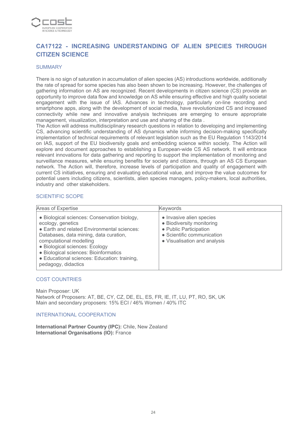

## **CA17122 - INCREASING UNDERSTANDING OF ALIEN SPECIES THROUGH CITIZEN SCIENCE**

#### **SUMMARY**

There is no sign of saturation in accumulation of alien species (AS) introductions worldwide, additionally the rate of spread for some species has also been shown to be increasing. However, the challenges of gathering information on AS are recognized. Recent developments in citizen science (CS) provide an opportunity to improve data flow and knowledge on AS while ensuring effective and high quality societal engagement with the issue of IAS. Advances in technology, particularly on-line recording and smartphone apps, along with the development of social media, have revolutionized CS and increased connectivity while new and innovative analysis techniques are emerging to ensure appropriate management, visualization, interpretation and use and sharing of the data .

The Action will address multidisciplinary research questions in relation to developing and implementing CS, advancing scientific understanding of AS dynamics while informing decision-making specifically implementation of technical requirements of relevant legislation such as the EU Regulation 1143/2014 on IAS, support of the EU biodiversity goals and embedding science within society. The Action will explore and document approaches to establishing a European-wide CS AS network. It will embrace relevant innovations for data gathering and reporting to support the implementation of monitoring and surveillance measures, while ensuring benefits for society and citizens, through an AS CS European network. The Action will, therefore, increase levels of participation and quality of engagement with current CS initiatives, ensuring and evaluating educational value, and improve the value outcomes for potential users including citizens, scientists, alien species managers, policy-makers, local authorities, industry and other stakeholders.

#### SCIENTIFIC SCOPE

| Areas of Expertise                                                                                                                                                                                                                                                                                                                      | <b>Keywords</b>                                                                                                                               |
|-----------------------------------------------------------------------------------------------------------------------------------------------------------------------------------------------------------------------------------------------------------------------------------------------------------------------------------------|-----------------------------------------------------------------------------------------------------------------------------------------------|
| • Biological sciences: Conservation biology,<br>ecology, genetics<br>• Earth and related Environmental sciences:<br>Databases, data mining, data curation,<br>computational modelling<br>· Biological sciences: Ecology<br>· Biological sciences: Bioinformatics<br>• Educational sciences: Education: training,<br>pedagogy, didactics | • Invasive alien species<br>• Biodiversity monitoring<br>• Public Participation<br>• Scientific communication<br>• Visualisation and analysis |

#### COST COUNTRIES

Main Proposer: UK Network of Proposers: AT, BE, CY, CZ, DE, EL, ES, FR, IE, IT, LU, PT, RO, SK, UK Main and secondary proposers: 15% ECI / 46% Women / 40% ITC

INTERNATIONAL COOPERATION

**International Partner Country (IPC):** Chile, New Zealand **International Organisations (IO):** France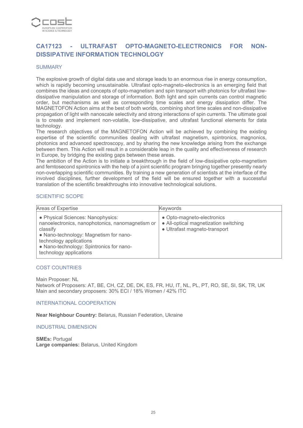

## **CA17123 - ULTRAFAST OPTO-MAGNETO-ELECTRONICS FOR NON-DISSIPATIVE INFORMATION TECHNOLOGY**

#### **SUMMARY**

The explosive growth of digital data use and storage leads to an enormous rise in energy consumption, which is rapidly becoming unsustainable. Ultrafast opto-magneto-electronics is an emerging field that combines the ideas and concepts of opto-magnetism and spin transport with photonics for ultrafast lowdissipative manipulation and storage of information. Both light and spin currents can control magnetic order, but mechanisms as well as corresponding time scales and energy dissipation differ. The MAGNETOFON Action aims at the best of both worlds, combining short time scales and non-dissipative propagation of light with nanoscale selectivity and strong interactions of spin currents. The ultimate goal is to create and implement non-volatile, low-dissipative, and ultrafast functional elements for data technology.

The research objectives of the MAGNETOFON Action will be achieved by combining the existing expertise of the scientific communities dealing with ultrafast magnetism, spintronics, magnonics, photonics and advanced spectroscopy, and by sharing the new knowledge arising from the exchange between them. This Action will result in a considerable leap in the quality and effectiveness of research in Europe, by bridging the existing gaps between these areas.

The ambition of the Action is to initiate a breakthrough in the field of low-dissipative opto-magnetism and femtosecond spintronics with the help of a joint scientific program bringing together presently nearly non-overlapping scientific communities. By training a new generation of scientists at the interface of the involved disciplines, further development of the field will be ensured together with a successful translation of the scientific breakthroughs into innovative technological solutions.

#### SCIENTIFIC SCOPE

| Areas of Expertise                                                                                                                                                                                                                            | <b>Keywords</b>                                                                                      |
|-----------------------------------------------------------------------------------------------------------------------------------------------------------------------------------------------------------------------------------------------|------------------------------------------------------------------------------------------------------|
| • Physical Sciences: Nanophysics:<br>nanoelectronics, nanophotonics, nanomagnetism or<br>classify<br>• Nano-technology: Magnetism for nano-<br>technology applications<br>• Nano-technology: Spintronics for nano-<br>technology applications | • Opto-magneto-electronics<br>• All-optical magnetization switching<br>· Ultrafast magneto-transport |

#### COST COUNTRIES

Main Proposer: NL

Network of Proposers: AT, BE, CH, CZ, DE, DK, ES, FR, HU, IT, NL, PL, PT, RO, SE, SI, SK, TR, UK Main and secondary proposers: 30% ECI / 18% Women / 42% ITC

#### INTERNATIONAL COOPERATION

**Near Neighbour Country:** Belarus, Russian Federation, Ukraine

INDUSTRIAL DIMENSION

**SMEs:** Portugal **Large companies:** Belarus, United Kingdom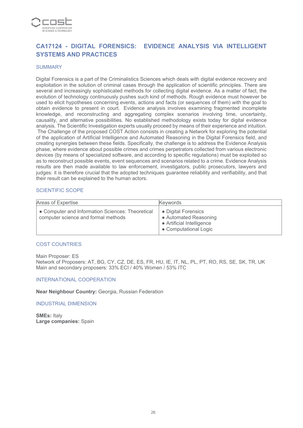

## **CA17124 - DIGITAL FORENSICS: EVIDENCE ANALYSIS VIA INTELLIGENT SYSTEMS AND PRACTICES**

#### **SUMMARY**

Digital Forensics is a part of the Criminalistics Sciences which deals with digital evidence recovery and exploitation in the solution of criminal cases through the application of scientific principles. There are several and increasingly sophisticated methods for collecting digital evidence. As a matter of fact, the evolution of technology continuously pushes such kind of methods. Rough evidence must however be used to elicit hypotheses concerning events, actions and facts (or sequences of them) with the goal to obtain evidence to present in court. Evidence analysis involves examining fragmented incomplete knowledge, and reconstructing and aggregating complex scenarios involving time, uncertainty, causality, and alternative possibilities. No established methodology exists today for digital evidence analysis. The Scientific Investigation experts usually proceed by means of their experience and intuition. The Challenge of the proposed COST Action consists in creating a Network for exploring the potential of the application of Artificial Intelligence and Automated Reasoning in the Digital Forensics field, and creating synergies between these fields. Specifically, the challenge is to address the Evidence Analysis phase, where evidence about possible crimes and crimes perpetrators collected from various electronic devices (by means of specialized software, and according to specific regulations) must be exploited so as to reconstruct possible events, event sequences and scenarios related to a crime. Evidence Analysis results are then made available to law enforcement, investigators, public prosecutors, lawyers and judges: it is therefore crucial that the adopted techniques guarantee reliability and verifiability, and that their result can be explained to the human actors.

#### SCIENTIFIC SCOPE

| Areas of Expertise                                                                      | Keywords                                                                                           |
|-----------------------------------------------------------------------------------------|----------------------------------------------------------------------------------------------------|
| • Computer and Information Sciences: Theoretical<br>computer science and formal methods | • Digital Forensics<br>• Automated Reasoning<br>• Artificial Intelligence<br>• Computational Logic |

#### COST COUNTRIES

Main Proposer: ES

Network of Proposers: AT, BG, CY, CZ, DE, ES, FR, HU, IE, IT, NL, PL, PT, RO, RS, SE, SK, TR, UK Main and secondary proposers: 33% ECI / 40% Women / 53% ITC

#### INTERNATIONAL COOPERATION

**Near Neighbour Country:** Georgia, Russian Federation

#### INDUSTRIAL DIMENSION

**SMEs:** Italy **Large companies:** Spain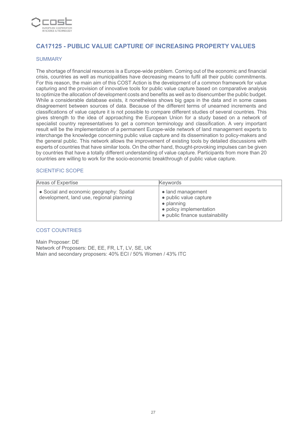

## **CA17125 - PUBLIC VALUE CAPTURE OF INCREASING PROPERTY VALUES**

#### SUMMARY

The shortage of financial resources is a Europe-wide problem. Coming out of the economic and financial crisis, countries as well as municipalities have decreasing means to fulfil all their public commitments. For this reason, the main aim of this COST Action is the development of a common framework for value capturing and the provision of innovative tools for public value capture based on comparative analysis to optimize the allocation of development costs and benefits as well as to disencumber the public budget. While a considerable database exists, it nonetheless shows big gaps in the data and in some cases disagreement between sources of data. Because of the different terms of unearned increments and classifications of value capture it is not possible to compare different studies of several countries. This gives strength to the idea of approaching the European Union for a study based on a network of specialist country representatives to get a common terminology and classification. A very important result will be the implementation of a permanent Europe-wide network of land management experts to interchange the knowledge concerning public value capture and its dissemination to policy-makers and the general public. This network allows the improvement of existing tools by detailed discussions with experts of countries that have similar tools. On the other hand, thought-provoking impulses can be given by countries that have a totally different understanding of value capture. Participants from more than 20 countries are willing to work for the socio-economic breakthrough of public value capture.

#### SCIENTIFIC SCOPE

| Areas of Expertise                                                                   | <b>Kevwords</b>                                                                                                                 |
|--------------------------------------------------------------------------------------|---------------------------------------------------------------------------------------------------------------------------------|
| • Social and economic geography: Spatial<br>development, land use, regional planning | • land management<br>• public value capture<br>$\bullet$ planning<br>• policy implementation<br>• public finance sustainability |

#### COST COUNTRIES

Main Proposer: DE Network of Proposers: DE, EE, FR, LT, LV, SE, UK Main and secondary proposers: 40% ECI / 50% Women / 43% ITC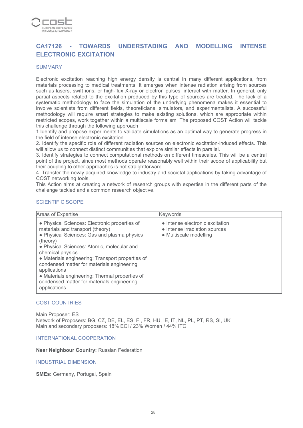

## **CA17126 - TOWARDS UNDERSTADING AND MODELLING INTENSE ELECTRONIC EXCITATION**

#### **SUMMARY**

Electronic excitation reaching high energy density is central in many different applications, from materials processing to medical treatments. It emerges when intense radiation arising from sources such as lasers, swift ions, or high-flux X-ray or electron pulses, interact with matter. In general, only partial aspects related to the excitation produced by this type of sources are treated. The lack of a systematic methodology to face the simulation of the underlying phenomena makes it essential to involve scientists from different fields, theoreticians, simulators, and experimentalists. A successful methodology will require smart strategies to make existing solutions, which are appropriate within restricted scopes, work together within a multiscale formalism. The proposed COST Action will tackle this challenge through the following approach

1.Identify and propose experiments to validate simulations as an optimal way to generate progress in the field of intense electronic excitation.

2. Identify the specific role of different radiation sources on electronic excitation-induced effects. This will allow us to connect distinct communities that explore similar effects in parallel.

3. Identify strategies to connect computational methods on different timescales. This will be a central point of the project, since most methods operate reasonably well within their scope of applicability but their coupling to other approaches is not straightforward.

4. Transfer the newly acquired knowledge to industry and societal applications by taking advantage of COST networking tools.

This Action aims at creating a network of research groups with expertise in the different parts of the challenge tackled and a common research objective.

#### SCIENTIFIC SCOPE

| Areas of Expertise                                                                                                                                                                                                                                                                                                                                                                                                                               | Keywords                                                                                   |
|--------------------------------------------------------------------------------------------------------------------------------------------------------------------------------------------------------------------------------------------------------------------------------------------------------------------------------------------------------------------------------------------------------------------------------------------------|--------------------------------------------------------------------------------------------|
| • Physical Sciences: Electronic properties of<br>materials and transport (theory)<br>• Physical Sciences: Gas and plasma physics<br>(theory)<br>• Physical Sciences: Atomic, molecular and<br>chemical physics<br>• Materials engineering: Transport properties of<br>condensed matter for materials engineering<br>applications<br>• Materials engineering: Thermal properties of<br>condensed matter for materials engineering<br>applications | • Intense electronic excitation<br>• Intense irradiation sources<br>• Multiscale modelling |

#### COST COUNTRIES

Main Proposer: ES Network of Proposers: BG, CZ, DE, EL, ES, FI, FR, HU, IE, IT, NL, PL, PT, RS, SI, UK Main and secondary proposers: 18% ECI / 23% Women / 44% ITC

#### INTERNATIONAL COOPERATION

**Near Neighbour Country:** Russian Federation

INDUSTRIAL DIMENSION

**SMEs:** Germany, Portugal, Spain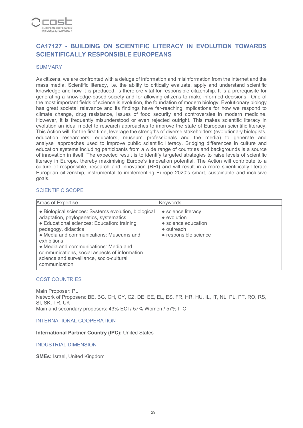

## **CA17127 - BUILDING ON SCIENTIFIC LITERACY IN EVOLUTION TOWARDS SCIENTIFICALLY RESPONSIBLE EUROPEANS**

#### **SUMMARY**

As citizens, we are confronted with a deluge of information and misinformation from the internet and the mass media. Scientific literacy, i.e. the ability to critically evaluate, apply and understand scientific knowledge and how it is produced, is therefore vital for responsible citizenship. It is a prerequisite for generating a knowledge-based society and for allowing citizens to make informed decisions. One of the most important fields of science is evolution, the foundation of modern biology. Evolutionary biology has great societal relevance and its findings have far-reaching implications for how we respond to climate change, drug resistance, issues of food security and controversies in modern medicine. However, it is frequently misunderstood or even rejected outright. This makes scientific literacy in evolution an ideal model to research approaches to improve the state of European scientific literacy. This Action will, for the first time, leverage the strengths of diverse stakeholders (evolutionary biologists, education researchers, educators, museum professionals and the media) to generate and analyse approaches used to improve public scientific literacy. Bridging differences in culture and education systems including participants from a wide range of countries and backgrounds is a source of innovation in itself. The expected result is to identify targeted strategies to raise levels of scientific literacy in Europe, thereby maximising Europe's innovation potential. The Action will contribute to a culture of responsible, research and innovation (RRI) and will result in a more scientifically literate European citizenship, instrumental to implementing Europe 2020's smart, sustainable and inclusive goals.

#### SCIENTIFIC SCOPE

| Areas of Expertise                                                                                                                                                                                                                                                                                                                                                                     | <b>Keywords</b>                                                                                                 |
|----------------------------------------------------------------------------------------------------------------------------------------------------------------------------------------------------------------------------------------------------------------------------------------------------------------------------------------------------------------------------------------|-----------------------------------------------------------------------------------------------------------------|
| • Biological sciences: Systems evolution, biological<br>adaptation, phylogenetics, systematics<br>• Educational sciences: Education: training,<br>pedagogy, didactics<br>• Media and communications: Museums and<br>exhibitions<br>• Media and communications: Media and<br>communications, social aspects of information<br>science and surveillance, socio-cultural<br>communication | • science literacy<br>$\bullet$ evolution<br>• science education<br>$\bullet$ outreach<br>• responsible science |

#### COST COUNTRIES

Main Proposer: PL Network of Proposers: BE, BG, CH, CY, CZ, DE, EE, EL, ES, FR, HR, HU, IL, IT, NL, PL, PT, RO, RS, SI, SK, TR, UK Main and secondary proposers: 43% ECI / 57% Women / 57% ITC

INTERNATIONAL COOPERATION

**International Partner Country (IPC):** United States

INDUSTRIAL DIMENSION

**SMEs:** Israel, United Kingdom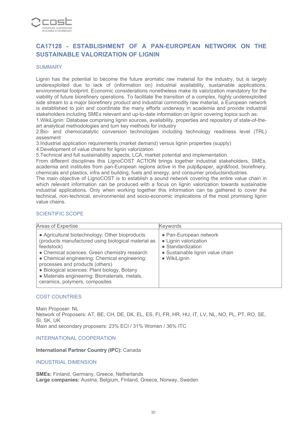

## **CA17128 - ESTABLISHMENT OF A PAN-EUROPEAN NETWORK ON THE SUSTAINABLE VALORIZATION OF LIGNIN**

#### **SUMMARY**

Lignin has the potential to become the future aromatic raw material for the industry, but is largely underexploited due to lack of (information on) industrial availability, sustainable applications, environmental footprint. Economic considerations nonetheless make its valorization mandatory for the viability of future biorefinery operations. To facilitate the transition of a complex, highly underexploited side stream to a major biorefinery product and industrial commodity raw material, a European network is established to join and coordinate the many efforts underway in academia and provide industrial stakeholders including SMEs relevant and up-to-date information on lignin covering topics such as:

1.WikiLignin: Database comprising lignin sources, availability, properties and repository of state-of-theart analytical methodologies and turn key methods for industry

2.Bio- and chemocatalytic conversion technologies including technology readiness level (TRL) assesment

3.Industrial application requirements (market demand) versus lignin properties (supply)

4.Development of value chains for lignin valorization

5.Technical and full sustainability aspects, LCA, market potential and implementation.

From different disciplines this LignoCOST ACTION brings together industrial stakeholders, SMEs, academia and institutes from pan-European regions active in the pulp&paper, agri&food, biorefinery, chemicals and plastics, infra and building, fuels and energy, and consumer productsindustries.

The main objective of LignoCOST is to establish a sound network covering the entire value chain in which relevant information can be produced with a focus on lignin valorization towards sustainable industrial applications. Only when working together this information can be gathered to cover the technical, non-technical, environmental and socio-economic implications of the most promising lignin value chains.

#### SCIENTIFIC SCOPE

| Areas of Expertise                                                                                                                                                                                                                                                                                                                                                                            | <b>Keywords</b>                                                                                                                  |
|-----------------------------------------------------------------------------------------------------------------------------------------------------------------------------------------------------------------------------------------------------------------------------------------------------------------------------------------------------------------------------------------------|----------------------------------------------------------------------------------------------------------------------------------|
| • Agricultural biotechnology: Other bioproducts<br>(products manufactured using biological material as<br>feedstock)<br>• Chemical sciences: Green chemistry research<br>• Chemical engineering: Chemical engineering:<br>processes and products (others)<br>• Biological sciences: Plant biology, Botany<br>• Materials engineering: Biomaterials, metals,<br>ceramics, polymers, composites | • Pan-European network<br>• Lignin valorization<br>• Standardization<br>• Sustainable lignin value chain<br>$\bullet$ WikiLignin |

#### COST COUNTRIES

Main Proposer: NL Network of Proposers: AT, BE, CH, DE, DK, EL, ES, FI, FR, HR, HU, IT, LV, NL, NO, PL, PT, RO, SE, SI, SK, UK Main and secondary proposers: 23% ECI / 31% Women / 36% ITC

#### INTERNATIONAL COOPERATION

#### **International Partner Country (IPC):** Canada

#### INDUSTRIAL DIMENSION

**SMEs:** Finland, Germany, Greece, Netherlands **Large companies:** Austria, Belgium, Finland, Greece, Norway, Sweden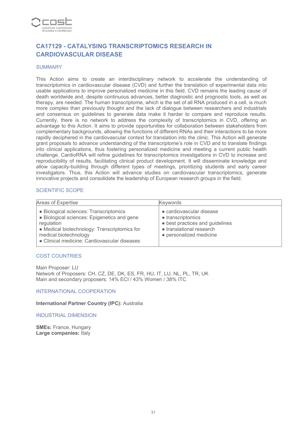

## **CA17129 - CATALYSING TRANSCRIPTOMICS RESEARCH IN CARDIOVASCULAR DISEASE**

#### **SUMMARY**

This Action aims to create an interdisciplinary network to accelerate the understanding of transcriptomics in cardiovascular disease (CVD) and further the translation of experimental data into usable applications to improve personalized medicine in this field. CVD remains the leading cause of death worldwide and, despite continuous advances, better diagnostic and prognostic tools, as well as therapy, are needed. The human transcriptome, which is the set of all RNA produced in a cell, is much more complex than previously thought and the lack of dialogue between researchers and industrials and consensus on guidelines to generate data make it harder to compare and reproduce results. Currently, there is no network to address the complexity of transcriptomics in CVD, offering an advantage to this Action. It aims to provide opportunities for collaboration between stakeholders from complementary backgrounds, allowing the functions of different RNAs and their interactions to be more rapidly deciphered in the cardiovascular context for translation into the clinic. This Action will generate grant proposals to advance understanding of the transcriptome's role in CVD and to translate findings into clinical applications, thus fostering personalized medicine and meeting a current public health challenge. CardioRNA will refine guidelines for transcriptomics investigations in CVD to increase and reproducibility of results, facilitating clinical product development. It will disseminate knowledge and allow capacity-building through different types of meetings, prioritizing students and early career investigators. Thus, this Action will advance studies on cardiovascular transcriptomics, generate innovative projects and consolidate the leadership of European research groups in the field.

#### SCIENTIFIC SCOPE

| Areas of Expertise                                                                                                                                                                                                           | <b>Keywords</b>                                                                                                                         |
|------------------------------------------------------------------------------------------------------------------------------------------------------------------------------------------------------------------------------|-----------------------------------------------------------------------------------------------------------------------------------------|
| • Biological sciences: Transcriptomics<br>· Biological sciences: Epigenetics and gene<br>regulation<br>• Medical biotechnology: Transcriptomics for<br>medical biotechnology<br>• Clinical medicine: Cardiovascular diseases | • cardiovascular disease<br>• transcriptomics<br>• best practices and guidelines<br>• translational research<br>• personalized medicine |

#### COST COUNTRIES

Main Proposer: LU Network of Proposers: CH, CZ, DE, DK, ES, FR, HU, IT, LU, NL, PL, TR, UK Main and secondary proposers: 14% ECI / 43% Women / 38% ITC

INTERNATIONAL COOPERATION

**International Partner Country (IPC):** Australia

INDUSTRIAL DIMENSION

**SMEs:** France, Hungary **Large companies:** Italy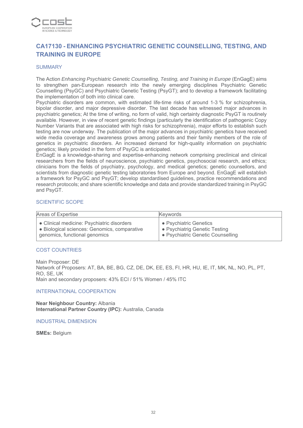

## **CA17130 - ENHANCING PSYCHIATRIC GENETIC COUNSELLING, TESTING, AND TRAINING IN EUROPE**

#### **SUMMARY**

The Action *Enhancing Psychiatric Genetic Counselling, Testing, and Training in Europe* (EnGagE) aims to strengthen pan-European research into the newly emerging disciplines Psychiatric Genetic Counselling (PsyGC) and Psychiatric Genetic Testing (PsyGT); and to develop a framework facilitating the implementation of both into clinical care.

Psychiatric disorders are common, with estimated life-time risks of around 1-3 % for schizophrenia, bipolar disorder, and major depressive disorder. The last decade has witnessed major advances in psychiatric genetics; At the time of writing, no form of valid, high certainty diagnostic PsyGT is routinely available. However, in view of recent genetic findings (particularly the identification of pathogenic Copy Number Variants that are associated with high risks for schizophrenia), major efforts to establish such testing are now underway. The publication of the major advances in psychiatric genetics have received wide media coverage and awareness grows among patients and their family members of the role of genetics in psychiatric disorders. An increased demand for high-quality information on psychiatric genetics; likely provided in the form of PsyGC is anticipated.

EnGagE is a knowledge-sharing and expertise-enhancing network comprising preclinical and clinical researchers from the fields of neuroscience, psychiatric genetics, psychosocial research, and ethics; clinicians from the fields of psychiatry, psychology, and medical genetics; genetic counsellors, and scientists from diagnostic genetic testing laboratories from Europe and beyond. EnGagE will establish a framework for PsyGC and PsyGT; develop standardised guidelines, practice recommendations and research protocols; and share scientific knowledge and data and provide standardized training in PsyGC and PsyGT.

#### SCIENTIFIC SCOPE

| Areas of Expertise                           | <b>Keywords</b>                   |
|----------------------------------------------|-----------------------------------|
| • Clinical medicine: Psychiatric disorders   | • Psychiatric Genetics            |
| • Biological sciences: Genomics, comparative | • Psychiatrig Genetic Testing     |
| genomics, functional genomics                | • Psychiatric Genetic Counselling |

#### COST COUNTRIES

Main Proposer: DE Network of Proposers: AT, BA, BE, BG, CZ, DE, DK, EE, ES, FI, HR, HU, IE, IT, MK, NL, NO, PL, PT, RO, SE, UK Main and secondary proposers: 43% ECI / 51% Women / 45% ITC

#### INTERNATIONAL COOPERATION

**Near Neighbour Country:** Albania **International Partner Country (IPC):** Australia, Canada

#### INDUSTRIAL DIMENSION

**SMEs:** Belgium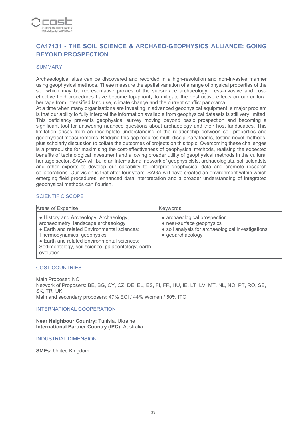

## **CA17131 - THE SOIL SCIENCE & ARCHAEO-GEOPHYSICS ALLIANCE: GOING BEYOND PROSPECTION**

#### **SUMMARY**

Archaeological sites can be discovered and recorded in a high-resolution and non-invasive manner using geophysical methods. These measure the spatial variation of a range of physical properties of the soil which may be representative proxies of the subsurface archaeology. Less-invasive and costeffective field procedures have become top-priority to mitigate the destructive effects on our cultural heritage from intensified land use, climate change and the current conflict panorama.

At a time when many organisations are investing in advanced geophysical equipment, a major problem is that our ability to fully interpret the information available from geophysical datasets is still very limited. This deficiency prevents geophysical survey moving beyond basic prospection and becoming a significant tool for answering nuanced questions about archaeology and their host landscapes. This limitation arises from an incomplete understanding of the relationship between soil properties and geophysical measurements. Bridging this gap requires multi-disciplinary teams, testing novel methods, plus scholarly discussion to collate the outcomes of projects on this topic. Overcoming these challenges is a prerequisite for maximising the cost-effectiveness of geophysical methods, realising the expected benefits of technological investment and allowing broader utility of geophysical methods in the cultural heritage sector. SAGA will build an international network of geophysicists, archaeologists, soil scientists and other experts to develop our capability to interpret geophysical data and promote research collaborations. Our vision is that after four years, SAGA will have created an environment within which emerging field procedures, enhanced data interpretation and a broader understanding of integrated geophysical methods can flourish.

#### SCIENTIFIC SCOPE

| Areas of Expertise                                                                                                                                                                                                                                                          | <b>Keywords</b>                                                                                                                    |
|-----------------------------------------------------------------------------------------------------------------------------------------------------------------------------------------------------------------------------------------------------------------------------|------------------------------------------------------------------------------------------------------------------------------------|
| • History and Archeology: Archaeology,<br>archaeometry, landscape archaeology<br>• Earth and related Environmental sciences:<br>Thermodynamics, geophysics<br>• Earth and related Environmental sciences:<br>Sedimentology, soil science, palaeontology, earth<br>evolution | • archaeological prospection<br>• near-surface geophysics<br>• soil analysis for archaeological investigations<br>• geoarchaeology |

#### COST COUNTRIES

Main Proposer: NO Network of Proposers: BE, BG, CY, CZ, DE, EL, ES, FI, FR, HU, IE, LT, LV, MT, NL, NO, PT, RO, SE, SK, TR, UK Main and secondary proposers: 47% ECI / 44% Women / 50% ITC

INTERNATIONAL COOPERATION

**Near Neighbour Country:** Tunisia, Ukraine **International Partner Country (IPC):** Australia

INDUSTRIAL DIMENSION

**SMEs:** United Kingdom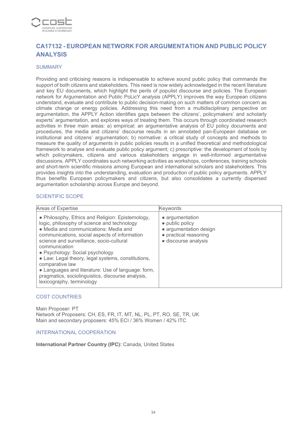

## **CA17132 - EUROPEAN NETWORK FOR ARGUMENTATION AND PUBLIC POLICY ANALYSIS**

#### **SUMMARY**

Providing and criticising reasons is indispensable to achieve sound public policy that commands the support of both citizens and stakeholders. This need is now widely acknowledged in the recent literature and key EU documents, which highlight the perils of populist discourse and policies. The European network for Argumentation and Public PoLicY analysis (APPLY) improves the way European citizens understand, evaluate and contribute to public decision-making on such matters of common concern as climate change or energy policies. Addressing this need from a multidisciplinary perspective on argumentation, the APPLY Action identifies gaps between the citizens', policymakers' and scholarly experts' argumentation, and explores ways of treating them. This occurs through coordinated research activities in three main areas: a) empirical: an argumentative analysis of EU policy documents and procedures, the media and citizens' discourse results in an annotated pan-European database on institutional and citizens' argumentation; b) normative: a critical study of concepts and methods to measure the quality of arguments in public policies results in a unified theoretical and methodological framework to analyse and evaluate public policy argument; c) prescriptive: the development of tools by which policymakers, citizens and various stakeholders engage in well-informed argumentative discussions. APPLY coordinates such networking activities as workshops, conferences, training schools and short-term scientific missions among European and international scholars and stakeholders. This provides insights into the understanding, evaluation and production of public policy arguments. APPLY thus benefits European policymakers and citizens, but also consolidates a currently dispersed argumentation scholarship across Europe and beyond.

#### SCIENTIFIC SCOPE

| Areas of Expertise                                                                                                                                                                                                                                                                                                                                                                                                                                                                                         | Keywords                                                                                                      |
|------------------------------------------------------------------------------------------------------------------------------------------------------------------------------------------------------------------------------------------------------------------------------------------------------------------------------------------------------------------------------------------------------------------------------------------------------------------------------------------------------------|---------------------------------------------------------------------------------------------------------------|
| • Philosophy, Ethics and Religion: Epistemology,<br>logic, philosophy of science and technology<br>• Media and communications: Media and<br>communications, social aspects of information<br>science and surveillance, socio-cultural<br>communication<br>• Psychology: Social psychology<br>• Law: Legal theory, legal systems, constitutions,<br>comparative law<br>• Languages and literature: Use of language: form,<br>pragmatics, sociolinguistics, discourse analysis,<br>lexicography, terminology | • argumentation<br>• public policy<br>· argumentation design<br>• practical reasoning<br>· discourse analysis |

#### COST COUNTRIES

Main Proposer: PT Network of Proposers: CH, ES, FR, IT, MT, NL, PL, PT, RO, SE, TR, UK Main and secondary proposers: 45% ECI / 36% Women / 42% ITC

#### INTERNATIONAL COOPERATION

**International Partner Country (IPC):** Canada, United States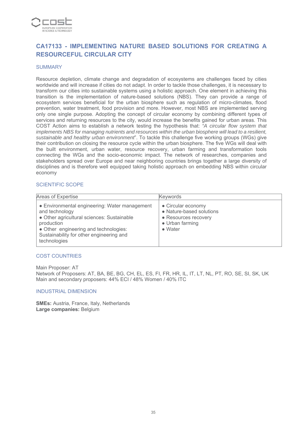

## **CA17133 - IMPLEMENTING NATURE BASED SOLUTIONS FOR CREATING A RESOURCEFUL CIRCULAR CITY**

#### **SUMMARY**

Resource depletion, climate change and degradation of ecosystems are challenges faced by cities worldwide and will increase if cities do not adapt. In order to tackle those challenges, it is necessary to transform our cities into sustainable systems using a holistic approach. One element in achieving this transition is the implementation of nature-based solutions (NBS). They can provide a range of ecosystem services beneficial for the urban biosphere such as regulation of micro-climates, flood prevention, water treatment, food provision and more. However, most NBS are implemented serving only one single purpose. Adopting the concept of circular economy by combining different types of services and returning resources to the city, would increase the benefits gained for urban areas. This COST Action aims to establish a network testing the hypothesis that: *"A circular flow system that implements NBS for managing nutrients and resources within the urban biosphere will lead to a resilient, sustainable and healthy urban environment*". To tackle this challenge five working groups (WGs) give their contribution on closing the resource cycle within the urban biosphere. The five WGs will deal with the built environment, urban water, resource recovery, urban farming and transformation tools connecting the WGs and the socio-economic impact. The network of researches, companies and stakeholders spread over Europe and near neighboring countries brings together a large diversity of disciplines and is therefore well equipped taking holistic approach on embedding NBS within circular economy

#### SCIENTIFIC SCOPE

| Areas of Expertise                                                                                                                                                                                                               | Keywords                                                                                                     |
|----------------------------------------------------------------------------------------------------------------------------------------------------------------------------------------------------------------------------------|--------------------------------------------------------------------------------------------------------------|
| • Environmental engineering: Water management<br>and technology<br>• Other agricultural sciences: Sustainable<br>production<br>• Other engineering and technologies:<br>Sustainability for other engineering and<br>technologies | • Circular economy<br>• Nature-based solutions<br>• Resources recovery<br>• Urban farming<br>$\bullet$ Water |

#### COST COUNTRIES

Main Proposer: AT

Network of Proposers: AT, BA, BE, BG, CH, EL, ES, FI, FR, HR, IL, IT, LT, NL, PT, RO, SE, SI, SK, UK Main and secondary proposers: 44% ECI / 48% Women / 40% ITC

#### INDUSTRIAL DIMENSION

**SMEs:** Austria, France, Italy, Netherlands **Large companies:** Belgium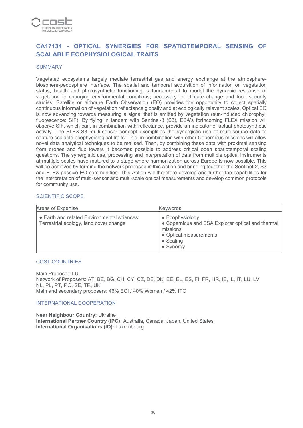

## **CA17134 - OPTICAL SYNERGIES FOR SPATIOTEMPORAL SENSING OF SCALABLE ECOPHYSIOLOGICAL TRAITS**

#### **SUMMARY**

Vegetated ecosystems largely mediate terrestrial gas and energy exchange at the atmospherebiosphere-pedosphere interface. The spatial and temporal acquisition of information on vegetation status, health and photosynthetic functioning is fundamental to model the dynamic response of vegetation to changing environmental conditions, necessary for climate change and food security studies. Satellite or airborne Earth Observation (EO) provides the opportunity to collect spatially continuous information of vegetation reflectance globally and at ecologically relevant scales. Optical EO is now advancing towards measuring a signal that is emitted by vegetation (sun-induced chlorophyll fluorescence: SIF). By flying in tandem with Sentinel-3 (S3), ESA's forthcoming FLEX mission will observe SIF, which can, in combination with reflectance, provide an indicator of actual photosynthetic activity. The FLEX-S3 multi-sensor concept exemplifies the synergistic use of multi-source data to capture scalable ecophysiological traits. This, in combination with other Copernicus missions will allow novel data analytical techniques to be realised. Then, by combining these data with proximal sensing from drones and flux towers it becomes possible to address critical open spatiotemporal scaling questions. The synergistic use, processing and interpretation of data from multiple optical instruments at multiple scales have matured to a stage where harmonization across Europe is now possible. This will be achieved by forming the network proposed in this Action and bringing together the Sentinel-2, S3 and FLEX passive EO communities. This Action will therefore develop and further the capabilities for the interpretation of multi-sensor and multi-scale optical measurements and develop common protocols for community use.

#### SCIENTIFIC SCOPE

| Areas of Expertise                                                                    | Keywords                                                                                                                                     |
|---------------------------------------------------------------------------------------|----------------------------------------------------------------------------------------------------------------------------------------------|
| • Earth and related Environmental sciences:<br>Terrestrial ecology, land cover change | • Ecophysiology<br>• Copernicus and ESA Explorer optical and thermal<br>missions<br>• Optical measurements<br>• Scaling<br>$\bullet$ Synergy |

#### COST COUNTRIES

Main Proposer: LU Network of Proposers: AT, BE, BG, CH, CY, CZ, DE, DK, EE, EL, ES, FI, FR, HR, IE, IL, IT, LU, LV, NL, PL, PT, RO, SE, TR, UK Main and secondary proposers: 46% ECI / 40% Women / 42% ITC

#### INTERNATIONAL COOPERATION

**Near Neighbour Country:** Ukraine **International Partner Country (IPC):** Australia, Canada, Japan, United States **International Organisations (IO):** Luxembourg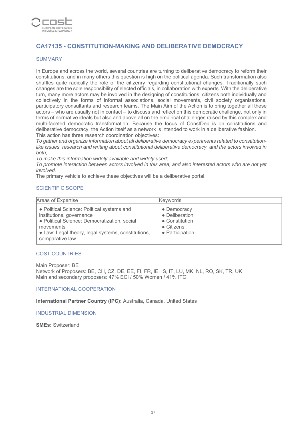

## **CA17135 - CONSTITUTION-MAKING AND DELIBERATIVE DEMOCRACY**

#### SUMMARY

In Europe and across the world, several countries are turning to deliberative democracy to reform their constitutions, and in many others this question is high on the political agenda. Such transformation also shuffles quite radically the role of the citizenry regarding constitutional changes. Traditionally such changes are the sole responsibility of elected officials, in collaboration with experts. With the deliberative turn, many more actors may be involved in the designing of constitutions: citizens both individually and collectively in the forms of informal associations, social movements, civil society organisations, participatory consultants and research teams. The Main Aim of the Action is to bring together all these actors – who are usually not in contact – to discuss and reflect on this democratic challenge, not only in terms of normative ideals but also and above all on the empirical challenges raised by this complex and multi-faceted democratic transformation. Because the focus of ConstDeb is on constitutions and deliberative democracy, the Action itself as a network is intended to work in a deliberative fashion. This action has three research coordination objectives:

*To gather and organize information about all deliberative democracy experiments related to constitutionlike issues, research and writing about constitutional deliberative democracy, and the actors involved in both;*

*To make this information widely available and widely used;*

*To promote interaction between actors involved in this area, and also interested actors who are not yet involved.*

The primary vehicle to achieve these objectives will be a deliberative portal.

## SCIENTIFIC SCOPE

| Areas of Expertise                                                                                                                                                                                           | <b>Keywords</b>                                                                          |
|--------------------------------------------------------------------------------------------------------------------------------------------------------------------------------------------------------------|------------------------------------------------------------------------------------------|
| • Political Science: Political systems and<br>institutions, governance<br>· Political Science: Democratization, social<br>movements<br>• Law: Legal theory, legal systems, constitutions,<br>comparative law | • Democracy<br>• Deliberation<br>• Constitution<br>$\bullet$ Citizens<br>• Participation |

#### COST COUNTRIES

Main Proposer: BE Network of Proposers: BE, CH, CZ, DE, EE, FI, FR, IE, IS, IT, LU, MK, NL, RO, SK, TR, UK Main and secondary proposers: 47% ECI / 50% Women / 41% ITC

#### INTERNATIONAL COOPERATION

**International Partner Country (IPC):** Australia, Canada, United States

INDUSTRIAL DIMENSION

**SMEs:** Switzerland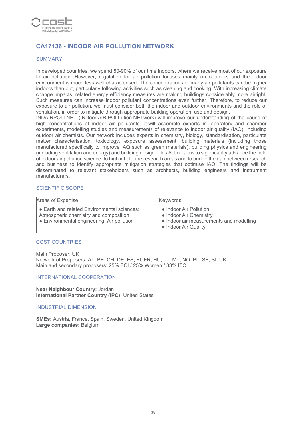

## **CA17136 - INDOOR AIR POLLUTION NETWORK**

#### SUMMARY

In developed countries, we spend 80-90% of our time indoors, where we receive most of our exposure to air pollution. However, regulation for air pollution focuses mainly on outdoors and the indoor environment is much less well characterised. The concentrations of many air pollutants can be higher indoors than out, particularly following activities such as cleaning and cooking. With increasing climate change impacts, related energy efficiency measures are making buildings considerably more airtight. Such measures can increase indoor pollutant concentrations even further. Therefore, to reduce our exposure to air pollution, we must consider both the indoor and outdoor environments and the role of ventilation, in order to mitigate through appropriate building operation, use and design.

INDAIRPOLLNET (INDoor AIR POLLution NETwork) will improve our understanding of the cause of high concentrations of indoor air pollutants. It will assemble experts in laboratory and chamber experiments, modelling studies and measurements of relevance to indoor air quality (IAQ), including outdoor air chemists. Our network includes experts in chemistry, biology, standardisation, particulate matter characterisation, toxicology, exposure assessment, building materials (including those manufactured specifically to improve IAQ such as green materials), building physics and engineering (including ventilation and energy) and building design. This Action aims to significantly advance the field of indoor air pollution science, to highlight future research areas and to bridge the gap between research and business to identify appropriate mitigation strategies that optimise IAQ. The findings will be disseminated to relevant stakeholders such as architects, building engineers and instrument manufacturers.

#### SCIENTIFIC SCOPE

| Areas of Expertise                                                                                                                 | Keywords                                                                                                            |
|------------------------------------------------------------------------------------------------------------------------------------|---------------------------------------------------------------------------------------------------------------------|
| • Earth and related Environmental sciences:<br>Atmospheric chemistry and composition<br>• Environmental engineering: Air pollution | • Indoor Air Pollution<br>• Indoor Air Chemistry<br>• Indoor air measurements and modelling<br>• Indoor Air Quality |

#### COST COUNTRIES

Main Proposer: UK Network of Proposers: AT, BE, CH, DE, ES, FI, FR, HU, LT, MT, NO, PL, SE, SI, UK Main and secondary proposers: 25% ECI / 25% Women / 33% ITC

#### INTERNATIONAL COOPERATION

**Near Neighbour Country:** Jordan **International Partner Country (IPC):** United States

#### INDUSTRIAL DIMENSION

**SMEs:** Austria, France, Spain, Sweden, United Kingdom **Large companies:** Belgium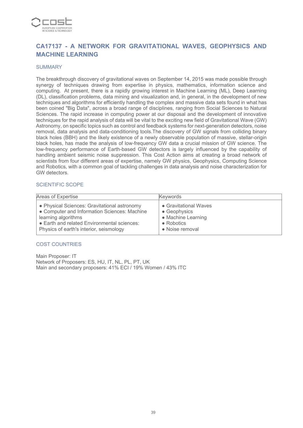

## **CA17137 - A NETWORK FOR GRAVITATIONAL WAVES, GEOPHYSICS AND MACHINE LEARNING**

#### **SUMMARY**

The breakthrough discovery of gravitational waves on September 14, 2015 was made possible through synergy of techniques drawing from expertise in physics, mathematics, information science and computing. At present, there is a rapidly growing interest in Machine Learning (ML), Deep Learning (DL), classification problems, data mining and visualization and, in general, in the development of new techniques and algorithms for efficiently handling the complex and massive data sets found in what has been coined "Big Data", across a broad range of disciplines, ranging from Social Sciences to Natural Sciences. The rapid increase in computing power at our disposal and the development of innovative techniques for the rapid analysis of data will be vital to the exciting new field of Gravitational Wave (GW) Astronomy, on specific topics such as control and feedback systems for next-generation detectors, noise removal, data analysis and data-conditioning tools.The discovery of GW signals from colliding binary black holes (BBH) and the likely existence of a newly observable population of massive, stellar-origin black holes, has made the analysis of low-frequency GW data a crucial mission of GW science. The low-frequency performance of Earth-based GW detectors is largely influenced by the capability of handling ambient seismic noise suppression. This Cost Action aims at creating a broad network of scientists from four different areas of expertise, namely GW physics, Geophysics, Computing Science and Robotics, with a common goal of tackling challenges in data analysis and noise characterization for GW detectors.

#### SCIENTIFIC SCOPE

| Areas of Expertise                           | <b>Keywords</b>       |
|----------------------------------------------|-----------------------|
| • Physical Sciences: Gravitational astronomy | • Gravitational Waves |
| • Computer and Information Sciences: Machine | • Geophysics          |
| learning algorithms                          | • Machine Learning    |
| • Earth and related Environmental sciences:  | $\bullet$ Robotics    |
| Physics of earth's interior, seismology      | • Noise removal       |

#### COST COUNTRIES

Main Proposer: IT Network of Proposers: ES, HU, IT, NL, PL, PT, UK Main and secondary proposers: 41% ECI / 19% Women / 43% ITC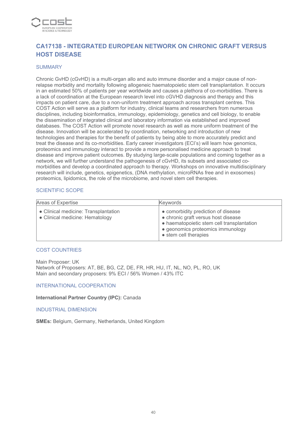

## **CA17138 - INTEGRATED EUROPEAN NETWORK ON CHRONIC GRAFT VERSUS HOST DISEASE**

#### **SUMMARY**

Chronic GvHD (cGvHD) is a multi-organ allo and auto immune disorder and a major cause of nonrelapse morbidity and mortality following allogeneic haematopoietic stem cell transplantation. It occurs in an estimated 50% of patients per year worldwide and causes a plethora of co-morbidities. There is a lack of coordination at the European research level into cGVHD diagnosis and therapy and this impacts on patient care, due to a non-uniform treatment approach across transplant centres. This COST Action will serve as a platform for industry, clinical teams and researchers from numerous disciplines, including bioinformatics, immunology, epidemiology, genetics and cell biology, to enable the dissemination of integrated clinical and laboratory information via established and improved databases. The COST Action will promote novel research as well as more uniform treatment of the disease. Innovation will be accelerated by coordination, networking and introduction of new technologies and therapies for the benefit of patients by being able to more accurately predict and treat the disease and its co-morbidities. Early career investigators (ECI's) will learn how genomics, proteomics and immunology interact to provide a more personalised medicine approach to treat disease and improve patient outcomes. By studying large-scale populations and coming together as a network, we will further understand the pathogenesis of cGvHD, its subsets and associated comorbidities and develop a coordinated approach to therapy. Workshops on innovative multidisciplinary research will include, genetics, epigenetics, (DNA methylation, microRNAs free and in exosomes) proteomics, lipidomics, the role of the microbiome, and novel stem cell therapies.

#### SCIENTIFIC SCOPE

| Areas of Expertise                                                      | Kevwords                                                                                                                                                                               |
|-------------------------------------------------------------------------|----------------------------------------------------------------------------------------------------------------------------------------------------------------------------------------|
| • Clinical medicine: Transplantation<br>• Clinical medicine: Hematology | • comorbidity prediction of disease<br>• chronic graft versus host disease<br>• haematopoietic stem cell transplantation<br>· geonomics proteomics immunology<br>• stem cell therapies |

#### COST COUNTRIES

Main Proposer: UK Network of Proposers: AT, BE, BG, CZ, DE, FR, HR, HU, IT, NL, NO, PL, RO, UK Main and secondary proposers: 9% ECI / 56% Women / 43% ITC

#### INTERNATIONAL COOPERATION

**International Partner Country (IPC):** Canada

INDUSTRIAL DIMENSION

**SMEs:** Belgium, Germany, Netherlands, United Kingdom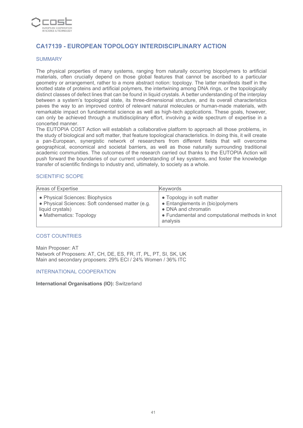

## **CA17139 - EUROPEAN TOPOLOGY INTERDISCIPLINARY ACTION**

#### SUMMARY

The physical properties of many systems, ranging from naturally occurring biopolymers to artificial materials, often crucially depend on those global features that cannot be ascribed to a particular geometry or arrangement, rather to a more abstract notion: topology. The latter manifests itself in the knotted state of proteins and artificial polymers, the intertwining among DNA rings, or the topologically distinct classes of defect lines that can be found in liquid crystals. A better understanding of the interplay between a system's topological state, its three-dimensional structure, and its overall characteristics paves the way to an improved control of relevant natural molecules or human-made materials, with remarkable impact on fundamental science as well as high-tech applications. These goals, however, can only be achieved through a multidisciplinary effort, involving a wide spectrum of expertise in a concerted manner.

The EUTOPIA COST Action will establish a collaborative platform to approach all those problems, in the study of biological and soft matter, that feature topological characteristics. In doing this, it will create a pan-European, synergistic network of researchers from different fields that will overcome geographical, economical and societal barriers, as well as those naturally surrounding traditional academic communities. The outcomes of the research carried out thanks to the EUTOPIA Action will push forward the boundaries of our current understanding of key systems, and foster the knowledge transfer of scientific findings to industry and, ultimately, to society as a whole.

#### SCIENTIFIC SCOPE

| Areas of Expertise                                                                                                                 | <b>Keywords</b>                                                                                                                                     |
|------------------------------------------------------------------------------------------------------------------------------------|-----------------------------------------------------------------------------------------------------------------------------------------------------|
| • Physical Sciences: Biophysics<br>• Physical Sciences: Soft condensed matter (e.g.<br>liquid crystals)<br>• Mathematics: Topology | • Topology in soft matter<br>• Entanglements in (bio)polymers<br>• DNA and chromatin<br>• Fundamental and computational methods in knot<br>analysis |

#### COST COUNTRIES

Main Proposer: AT Network of Proposers: AT, CH, DE, ES, FR, IT, PL, PT, SI, SK, UK Main and secondary proposers: 29% ECI / 24% Women / 36% ITC

#### INTERNATIONAL COOPERATION

#### **International Organisations (IO):** Switzerland